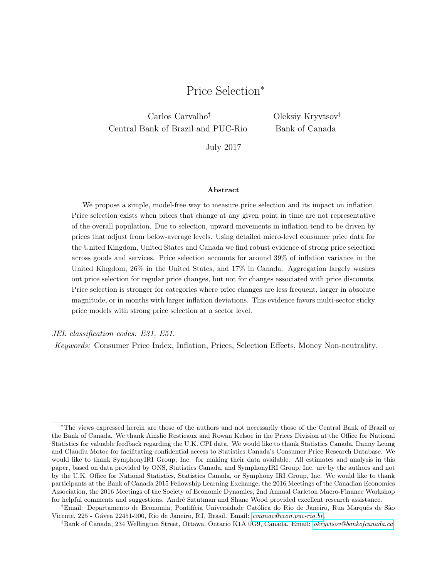# Price Selection<sup>∗</sup>

Carlos Carvalho† Central Bank of Brazil and PUC-Rio Oleksiy Kryvtsov‡ Bank of Canada

July 2017

#### Abstract

We propose a simple, model-free way to measure price selection and its impact on inflation. Price selection exists when prices that change at any given point in time are not representative of the overall population. Due to selection, upward movements in inflation tend to be driven by prices that adjust from below-average levels. Using detailed micro-level consumer price data for the United Kingdom, United States and Canada we find robust evidence of strong price selection across goods and services. Price selection accounts for around 39% of inflation variance in the United Kingdom, 26% in the United States, and 17% in Canada. Aggregation largely washes out price selection for regular price changes, but not for changes associated with price discounts. Price selection is stronger for categories where price changes are less frequent, larger in absolute magnitude, or in months with larger inflation deviations. This evidence favors multi-sector sticky price models with strong price selection at a sector level.

JEL classification codes: E31, E51.

Keywords: Consumer Price Index, Inflation, Prices, Selection Effects, Money Non-neutrality.

<sup>∗</sup>The views expressed herein are those of the authors and not necessarily those of the Central Bank of Brazil or the Bank of Canada. We thank Ainslie Restieaux and Rowan Kelsoe in the Prices Division at the Office for National Statistics for valuable feedback regarding the U.K. CPI data. We would like to thank Statistics Canada, Danny Leung and Claudiu Motoc for facilitating confidential access to Statistics Canada's Consumer Price Research Database. We would like to thank SymphonyIRI Group, Inc. for making their data available. All estimates and analysis in this paper, based on data provided by ONS, Statistics Canada, and SymphonyIRI Group, Inc. are by the authors and not by the U.K. Office for National Statistics, Statistics Canada, or Symphony IRI Group, Inc. We would like to thank participants at the Bank of Canada 2015 Fellowship Learning Exchange, the 2016 Meetings of the Canadian Economics Association, the 2016 Meetings of the Society of Economic Dynamics, 2nd Annual Carleton Macro-Finance Workshop for helpful comments and suggestions. André Sztutman and Shane Wood provided excellent research assistance.

<sup>†</sup>Email: Departamento de Economia, Pontifícia Universidade Católica do Rio de Janeiro, Rua Marquês de São Vicente, 225 - G´avea 22451-900, Rio de Janeiro, RJ, Brasil. Email: [cvianac@econ.puc-rio.br.](mailto:cvianac@econ.puc-rio.br)

<sup>‡</sup>Bank of Canada, 234 Wellington Street, Ottawa, Ontario K1A 0G9, Canada. Email: [okryvtsov@bankofcanada.ca.](mailto:okryvtsov@bankofcanada.ca)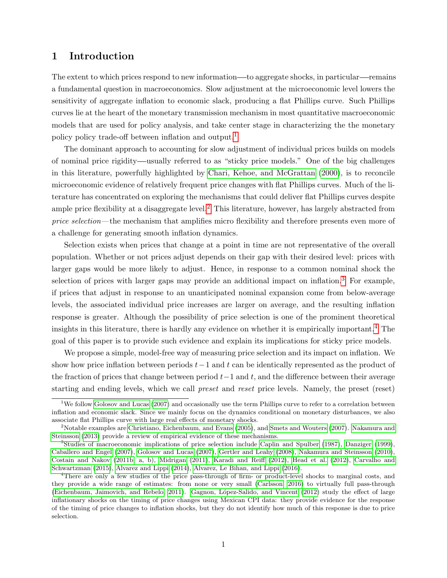### 1 Introduction

The extent to which prices respond to new information—to aggregate shocks, in particular—remains a fundamental question in macroeconomics. Slow adjustment at the microeconomic level lowers the sensitivity of aggregate inflation to economic slack, producing a flat Phillips curve. Such Phillips curves lie at the heart of the monetary transmission mechanism in most quantitative macroeconomic models that are used for policy analysis, and take center stage in characterizing the the monetary policy policy trade-off between inflation and output.<sup>[1](#page-1-0)</sup>

The dominant approach to accounting for slow adjustment of individual prices builds on models of nominal price rigidity usually referred to as "sticky price models." One of the big challenges in this literature, powerfully highlighted by [Chari, Kehoe, and McGrattan \(2000\)](#page-23-0), is to reconcile microeconomic evidence of relatively frequent price changes with flat Phillips curves. Much of the literature has concentrated on exploring the mechanisms that could deliver flat Phillips curves despite ample price flexibility at a disaggregate level.<sup>[2](#page-1-1)</sup> This literature, however, has largely abstracted from price selection—the mechanism that amplifies micro flexibility and therefore presents even more of a challenge for generating smooth inflation dynamics.

Selection exists when prices that change at a point in time are not representative of the overall population. Whether or not prices adjust depends on their gap with their desired level: prices with larger gaps would be more likely to adjust. Hence, in response to a common nominal shock the selection of prices with larger gaps may provide an additional impact on inflation.<sup>[3](#page-1-2)</sup> For example, if prices that adjust in response to an unanticipated nominal expansion come from below-average levels, the associated individual price increases are larger on average, and the resulting inflation response is greater. Although the possibility of price selection is one of the prominent theoretical insights in this literature, there is hardly any evidence on whether it is empirically important.[4](#page-1-3) The goal of this paper is to provide such evidence and explain its implications for sticky price models.

We propose a simple, model-free way of measuring price selection and its impact on inflation. We show how price inflation between periods  $t-1$  and t can be identically represented as the product of the fraction of prices that change between period  $t-1$  and t, and the difference between their average starting and ending levels, which we call preset and reset price levels. Namely, the preset (reset)

<span id="page-1-0"></span><sup>&</sup>lt;sup>1</sup>We follow [Golosov and Lucas](#page-24-0) [\(2007\)](#page-24-0) and occasionally use the term Phillips curve to refer to a correlation between inflation and economic slack. Since we mainly focus on the dynamics conditional on monetary disturbances, we also associate flat Phillips curve with large real effects of monetary shocks.

<span id="page-1-1"></span><sup>&</sup>lt;sup>2</sup>Notable examples are [Christiano, Eichenbaum, and Evans](#page-23-1) [\(2005\)](#page-23-1), and [Smets and Wouters](#page-25-0) [\(2007\)](#page-25-0). [Nakamura and](#page-25-1) [Steinsson](#page-25-1) [\(2013\)](#page-25-1) provide a review of empirical evidence of these mechanisms.

<span id="page-1-2"></span><sup>3</sup>Studies of macroeconomic implications of price selection include [Caplin and Spulber](#page-23-2) [\(1987\)](#page-23-2), [Danziger](#page-24-1) [\(1999\)](#page-24-1), [Caballero and Engel](#page-23-3) [\(2007\)](#page-23-3), [Golosov and Lucas](#page-24-0) [\(2007\)](#page-24-0), [Gertler and Leahy](#page-24-2) [\(2008\)](#page-24-2), [Nakamura and Steinsson](#page-25-2) [\(2010\)](#page-25-2), [Costain and Nakov](#page-24-3) [\(2011b,](#page-24-3) a, b), [Midrigan](#page-25-3) [\(2011\)](#page-25-3), [Karadi and Reiff](#page-24-4) [\(2012\)](#page-24-4), [Head et al.](#page-24-5) [\(2012\)](#page-24-5), [Carvalho and](#page-23-4) [Schwartzman](#page-23-4) [\(2015\)](#page-23-4), [Alvarez and Lippi](#page-23-5) [\(2014\)](#page-23-5), [Alvarez, Le Bihan, and Lippi](#page-23-6) [\(2016\)](#page-23-6).

<span id="page-1-3"></span><sup>4</sup>There are only a few studies of the price pass-through of firm- or product-level shocks to marginal costs, and they provide a wide range of estimates: from none or very small [\(Carlsson, 2016\)](#page-23-7) to virtually full pass-through [\(Eichenbaum, Jaimovich, and Rebelo, 2011\)](#page-24-6). Gagnon, López-Salido, and Vincent [\(2012\)](#page-24-7) study the effect of large inflationary shocks on the timing of price changes using Mexican CPI data: they provide evidence for the response of the timing of price changes to inflation shocks, but they do not identify how much of this response is due to price selection.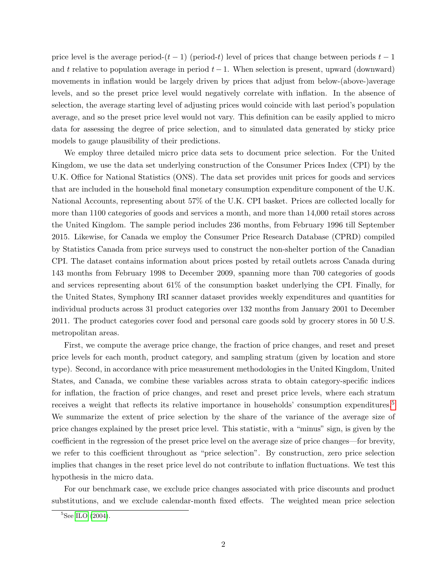price level is the average period- $(t-1)$  (period-t) level of prices that change between periods  $t-1$ and t relative to population average in period  $t-1$ . When selection is present, upward (downward) movements in inflation would be largely driven by prices that adjust from below-(above-)average levels, and so the preset price level would negatively correlate with inflation. In the absence of selection, the average starting level of adjusting prices would coincide with last period's population average, and so the preset price level would not vary. This definition can be easily applied to micro data for assessing the degree of price selection, and to simulated data generated by sticky price models to gauge plausibility of their predictions.

We employ three detailed micro price data sets to document price selection. For the United Kingdom, we use the data set underlying construction of the Consumer Prices Index (CPI) by the U.K. Office for National Statistics (ONS). The data set provides unit prices for goods and services that are included in the household final monetary consumption expenditure component of the U.K. National Accounts, representing about 57% of the U.K. CPI basket. Prices are collected locally for more than 1100 categories of goods and services a month, and more than 14,000 retail stores across the United Kingdom. The sample period includes 236 months, from February 1996 till September 2015. Likewise, for Canada we employ the Consumer Price Research Database (CPRD) compiled by Statistics Canada from price surveys used to construct the non-shelter portion of the Canadian CPI. The dataset contains information about prices posted by retail outlets across Canada during 143 months from February 1998 to December 2009, spanning more than 700 categories of goods and services representing about 61% of the consumption basket underlying the CPI. Finally, for the United States, Symphony IRI scanner dataset provides weekly expenditures and quantities for individual products across 31 product categories over 132 months from January 2001 to December 2011. The product categories cover food and personal care goods sold by grocery stores in 50 U.S. metropolitan areas.

First, we compute the average price change, the fraction of price changes, and reset and preset price levels for each month, product category, and sampling stratum (given by location and store type). Second, in accordance with price measurement methodologies in the United Kingdom, United States, and Canada, we combine these variables across strata to obtain category-specific indices for inflation, the fraction of price changes, and reset and preset price levels, where each stratum receives a weight that reflects its relative importance in households' consumption expenditures.<sup>[5](#page-2-0)</sup> We summarize the extent of price selection by the share of the variance of the average size of price changes explained by the preset price level. This statistic, with a "minus" sign, is given by the coefficient in the regression of the preset price level on the average size of price changes—for brevity, we refer to this coefficient throughout as "price selection". By construction, zero price selection implies that changes in the reset price level do not contribute to inflation fluctuations. We test this hypothesis in the micro data.

For our benchmark case, we exclude price changes associated with price discounts and product substitutions, and we exclude calendar-month fixed effects. The weighted mean price selection

<span id="page-2-0"></span> ${}^{5}$ See [ILO](#page-24-8) [\(2004\)](#page-24-8).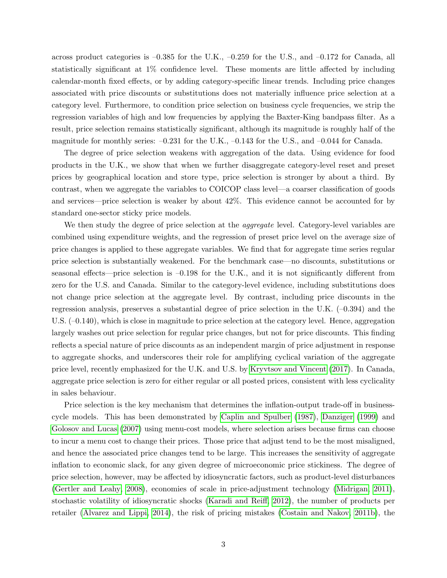across product categories is  $-0.385$  for the U.K.,  $-0.259$  for the U.S., and  $-0.172$  for Canada, all statistically significant at 1% confidence level. These moments are little affected by including calendar-month fixed effects, or by adding category-specific linear trends. Including price changes associated with price discounts or substitutions does not materially influence price selection at a category level. Furthermore, to condition price selection on business cycle frequencies, we strip the regression variables of high and low frequencies by applying the Baxter-King bandpass filter. As a result, price selection remains statistically significant, although its magnitude is roughly half of the magnitude for monthly series:  $-0.231$  for the U.K.,  $-0.143$  for the U.S., and  $-0.044$  for Canada.

The degree of price selection weakens with aggregation of the data. Using evidence for food products in the U.K., we show that when we further disaggregate category-level reset and preset prices by geographical location and store type, price selection is stronger by about a third. By contrast, when we aggregate the variables to COICOP class level—a coarser classification of goods and services—price selection is weaker by about 42%. This evidence cannot be accounted for by standard one-sector sticky price models.

We then study the degree of price selection at the *aggregate* level. Category-level variables are combined using expenditure weights, and the regression of preset price level on the average size of price changes is applied to these aggregate variables. We find that for aggregate time series regular price selection is substantially weakened. For the benchmark case—no discounts, substitutions or seasonal effects—price selection is –0.198 for the U.K., and it is not significantly different from zero for the U.S. and Canada. Similar to the category-level evidence, including substitutions does not change price selection at the aggregate level. By contrast, including price discounts in the regression analysis, preserves a substantial degree of price selection in the U.K. (–0.394) and the U.S. (–0.140), which is close in magnitude to price selection at the category level. Hence, aggregation largely washes out price selection for regular price changes, but not for price discounts. This finding reflects a special nature of price discounts as an independent margin of price adjustment in response to aggregate shocks, and underscores their role for amplifying cyclical variation of the aggregate price level, recently emphasized for the U.K. and U.S. by [Kryvtsov and Vincent \(2017\)](#page-25-4). In Canada, aggregate price selection is zero for either regular or all posted prices, consistent with less cyclicality in sales behaviour.

Price selection is the key mechanism that determines the inflation-output trade-off in businesscycle models. This has been demonstrated by [Caplin and Spulber \(1987\)](#page-23-2), [Danziger \(1999\)](#page-24-1) and [Golosov and Lucas \(2007\)](#page-24-0) using menu-cost models, where selection arises because firms can choose to incur a menu cost to change their prices. Those price that adjust tend to be the most misaligned, and hence the associated price changes tend to be large. This increases the sensitivity of aggregate inflation to economic slack, for any given degree of microeconomic price stickiness. The degree of price selection, however, may be affected by idiosyncratic factors, such as product-level disturbances [\(Gertler and Leahy, 2008\)](#page-24-2), economies of scale in price-adjustment technology [\(Midrigan, 2011\)](#page-25-3), stochastic volatility of idiosyncratic shocks [\(Karadi and Reiff, 2012\)](#page-24-4), the number of products per retailer [\(Alvarez and Lippi, 2014\)](#page-23-5), the risk of pricing mistakes [\(Costain and Nakov, 2011b\)](#page-24-3), the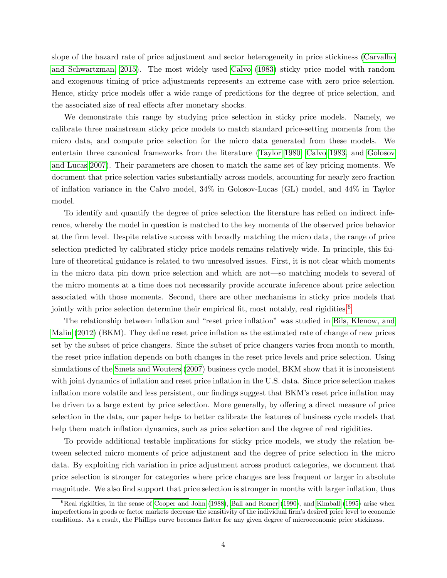slope of the hazard rate of price adjustment and sector heterogeneity in price stickiness [\(Carvalho](#page-23-4) [and Schwartzman, 2015\)](#page-23-4). The most widely used [Calvo \(1983\)](#page-23-8) sticky price model with random and exogenous timing of price adjustments represents an extreme case with zero price selection. Hence, sticky price models offer a wide range of predictions for the degree of price selection, and the associated size of real effects after monetary shocks.

We demonstrate this range by studying price selection in sticky price models. Namely, we calibrate three mainstream sticky price models to match standard price-setting moments from the micro data, and compute price selection for the micro data generated from these models. We entertain three canonical frameworks from the literature [\(Taylor 1980,](#page-25-5) [Calvo 1983,](#page-23-8) and [Golosov](#page-24-0) [and Lucas 2007\)](#page-24-0). Their parameters are chosen to match the same set of key pricing moments. We document that price selection varies substantially across models, accounting for nearly zero fraction of inflation variance in the Calvo model, 34% in Golosov-Lucas (GL) model, and 44% in Taylor model.

To identify and quantify the degree of price selection the literature has relied on indirect inference, whereby the model in question is matched to the key moments of the observed price behavior at the firm level. Despite relative success with broadly matching the micro data, the range of price selection predicted by calibrated sticky price models remains relatively wide. In principle, this failure of theoretical guidance is related to two unresolved issues. First, it is not clear which moments in the micro data pin down price selection and which are not—so matching models to several of the micro moments at a time does not necessarily provide accurate inference about price selection associated with those moments. Second, there are other mechanisms in sticky price models that jointly with price selection determine their empirical fit, most notably, real rigidities.<sup>[6](#page-4-0)</sup>

The relationship between inflation and "reset price inflation" was studied in [Bils, Klenow, and](#page-23-9) [Malin \(2012\)](#page-23-9) (BKM). They define reset price inflation as the estimated rate of change of new prices set by the subset of price changers. Since the subset of price changers varies from month to month, the reset price inflation depends on both changes in the reset price levels and price selection. Using simulations of the [Smets and Wouters \(2007\)](#page-25-0) business cycle model, BKM show that it is inconsistent with joint dynamics of inflation and reset price inflation in the U.S. data. Since price selection makes inflation more volatile and less persistent, our findings suggest that BKM's reset price inflation may be driven to a large extent by price selection. More generally, by offering a direct measure of price selection in the data, our paper helps to better calibrate the features of business cycle models that help them match inflation dynamics, such as price selection and the degree of real rigidities.

To provide additional testable implications for sticky price models, we study the relation between selected micro moments of price adjustment and the degree of price selection in the micro data. By exploiting rich variation in price adjustment across product categories, we document that price selection is stronger for categories where price changes are less frequent or larger in absolute magnitude. We also find support that price selection is stronger in months with larger inflation, thus

<span id="page-4-0"></span> ${}^{6}$ Real rigidities, in the sense of [Cooper and John](#page-24-9) [\(1988\)](#page-24-9), [Ball and Romer](#page-23-10) [\(1990\)](#page-23-10), and [Kimball](#page-25-6) [\(1995\)](#page-25-6) arise when imperfections in goods or factor markets decrease the sensitivity of the individual firm's desired price level to economic conditions. As a result, the Phillips curve becomes flatter for any given degree of microeconomic price stickiness.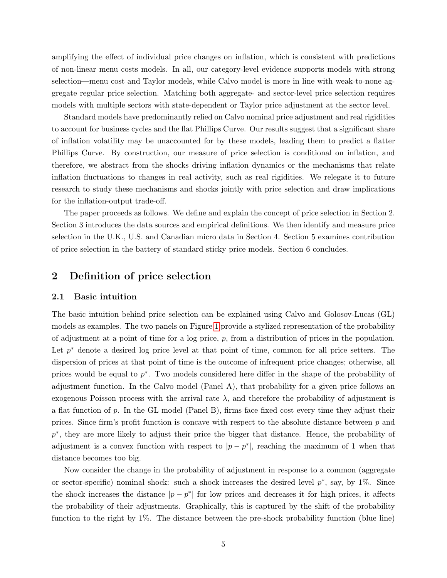amplifying the effect of individual price changes on inflation, which is consistent with predictions of non-linear menu costs models. In all, our category-level evidence supports models with strong selection—menu cost and Taylor models, while Calvo model is more in line with weak-to-none aggregate regular price selection. Matching both aggregate- and sector-level price selection requires models with multiple sectors with state-dependent or Taylor price adjustment at the sector level.

Standard models have predominantly relied on Calvo nominal price adjustment and real rigidities to account for business cycles and the flat Phillips Curve. Our results suggest that a significant share of inflation volatility may be unaccounted for by these models, leading them to predict a flatter Phillips Curve. By construction, our measure of price selection is conditional on inflation, and therefore, we abstract from the shocks driving inflation dynamics or the mechanisms that relate inflation fluctuations to changes in real activity, such as real rigidities. We relegate it to future research to study these mechanisms and shocks jointly with price selection and draw implications for the inflation-output trade-off.

The paper proceeds as follows. We define and explain the concept of price selection in Section 2. Section 3 introduces the data sources and empirical definitions. We then identify and measure price selection in the U.K., U.S. and Canadian micro data in Section 4. Section 5 examines contribution of price selection in the battery of standard sticky price models. Section 6 concludes.

### 2 Definition of price selection

#### 2.1 Basic intuition

The basic intuition behind price selection can be explained using Calvo and Golosov-Lucas (GL) models as examples. The two panels on Figure [1](#page-33-0) provide a stylized representation of the probability of adjustment at a point of time for a log price, p, from a distribution of prices in the population. Let  $p^*$  denote a desired log price level at that point of time, common for all price setters. The dispersion of prices at that point of time is the outcome of infrequent price changes; otherwise, all prices would be equal to  $p^*$ . Two models considered here differ in the shape of the probability of adjustment function. In the Calvo model (Panel A), that probability for a given price follows an exogenous Poisson process with the arrival rate  $\lambda$ , and therefore the probability of adjustment is a flat function of  $p$ . In the GL model (Panel B), firms face fixed cost every time they adjust their prices. Since firm's profit function is concave with respect to the absolute distance between  $p$  and p<sup>\*</sup>, they are more likely to adjust their price the bigger that distance. Hence, the probability of adjustment is a convex function with respect to  $|p-p^*|$ , reaching the maximum of 1 when that distance becomes too big.

Now consider the change in the probability of adjustment in response to a common (aggregate or sector-specific) nominal shock: such a shock increases the desired level  $p^*$ , say, by 1%. Since the shock increases the distance  $|p - p^*|$  for low prices and decreases it for high prices, it affects the probability of their adjustments. Graphically, this is captured by the shift of the probability function to the right by 1%. The distance between the pre-shock probability function (blue line)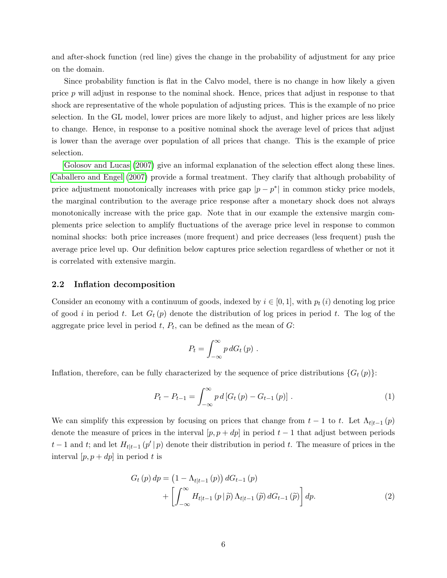and after-shock function (red line) gives the change in the probability of adjustment for any price on the domain.

Since probability function is flat in the Calvo model, there is no change in how likely a given price p will adjust in response to the nominal shock. Hence, prices that adjust in response to that shock are representative of the whole population of adjusting prices. This is the example of no price selection. In the GL model, lower prices are more likely to adjust, and higher prices are less likely to change. Hence, in response to a positive nominal shock the average level of prices that adjust is lower than the average over population of all prices that change. This is the example of price selection.

[Golosov and Lucas \(2007\)](#page-24-0) give an informal explanation of the selection effect along these lines. [Caballero and Engel \(2007\)](#page-23-3) provide a formal treatment. They clarify that although probability of price adjustment monotonically increases with price gap  $|p - p^*|$  in common sticky price models, the marginal contribution to the average price response after a monetary shock does not always monotonically increase with the price gap. Note that in our example the extensive margin complements price selection to amplify fluctuations of the average price level in response to common nominal shocks: both price increases (more frequent) and price decreases (less frequent) push the average price level up. Our definition below captures price selection regardless of whether or not it is correlated with extensive margin.

#### 2.2 Inflation decomposition

Consider an economy with a continuum of goods, indexed by  $i \in [0, 1]$ , with  $p_t(i)$  denoting log price of good i in period t. Let  $G_t(p)$  denote the distribution of log prices in period t. The log of the aggregate price level in period  $t, P_t$ , can be defined as the mean of  $G$ :

<span id="page-6-0"></span>
$$
P_t = \int_{-\infty}^{\infty} p \, dG_t \, (p) \; .
$$

Inflation, therefore, can be fully characterized by the sequence of price distributions  $\{G_t(p)\}$ :

<span id="page-6-1"></span>
$$
P_{t} - P_{t-1} = \int_{-\infty}^{\infty} p d [G_{t} (p) - G_{t-1} (p)] . \qquad (1)
$$

We can simplify this expression by focusing on prices that change from  $t-1$  to t. Let  $\Lambda_{t|t-1}(p)$ denote the measure of prices in the interval  $[p, p + dp]$  in period  $t - 1$  that adjust between periods  $t-1$  and t; and let  $H_{t|t-1}(p'|p)$  denote their distribution in period t. The measure of prices in the interval  $[p, p + dp]$  in period t is

$$
G_{t}(p) dp = (1 - \Lambda_{t|t-1}(p)) dG_{t-1}(p)
$$
  
+ 
$$
\left[ \int_{-\infty}^{\infty} H_{t|t-1}(p | \tilde{p}) \Lambda_{t|t-1}(\tilde{p}) dG_{t-1}(\tilde{p}) \right] dp.
$$
 (2)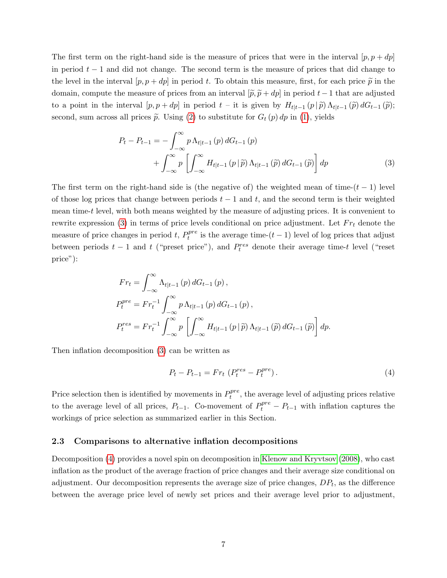The first term on the right-hand side is the measure of prices that were in the interval  $[p, p + dp]$ in period  $t - 1$  and did not change. The second term is the measure of prices that did change to the level in the interval  $[p, p + dp]$  in period t. To obtain this measure, first, for each price  $\tilde{p}$  in the domain, compute the measure of prices from an interval  $[\tilde{p}, \tilde{p} + dp]$  in period t – 1 that are adjusted to a point in the interval  $[p, p + dp]$  in period  $t -$  it is given by  $H_{t|t-1}(p|\tilde{p})\Lambda_{t|t-1}(\tilde{p})dG_{t-1}(\tilde{p});$ second, sum across all prices  $\tilde{p}$ . Using [\(2\)](#page-6-0) to substitute for  $G_t(p) dp$  in [\(1\)](#page-6-1), yields

<span id="page-7-0"></span>
$$
P_{t} - P_{t-1} = -\int_{-\infty}^{\infty} p \,\Lambda_{t|t-1} \left(p\right) dG_{t-1} \left(p\right)
$$

$$
+ \int_{-\infty}^{\infty} p \left[ \int_{-\infty}^{\infty} H_{t|t-1} \left(p \mid \widetilde{p}\right) \Lambda_{t|t-1} \left(\widetilde{p}\right) dG_{t-1} \left(\widetilde{p}\right) \right] dp \tag{3}
$$

The first term on the right-hand side is (the negative of) the weighted mean of time- $(t - 1)$  level of those log prices that change between periods  $t - 1$  and t, and the second term is their weighted mean time-t level, with both means weighted by the measure of adjusting prices. It is convenient to rewrite expression [\(3\)](#page-7-0) in terms of price levels conditional on price adjustment. Let  $Fr_t$  denote the measure of price changes in period  $t, P_t^{pre}$  $t_t^{pre}$  is the average time- $(t-1)$  level of log prices that adjust between periods  $t-1$  and  $t$  ("preset price"), and  $P_t^{res}$  denote their average time-t level ("reset price"):

$$
Fr_{t} = \int_{-\infty}^{\infty} \Lambda_{t|t-1} (p) dG_{t-1} (p),
$$
  
\n
$$
P_{t}^{pre} = Fr_{t}^{-1} \int_{-\infty}^{\infty} p \Lambda_{t|t-1} (p) dG_{t-1} (p),
$$
  
\n
$$
P_{t}^{res} = Fr_{t}^{-1} \int_{-\infty}^{\infty} p \left[ \int_{-\infty}^{\infty} H_{t|t-1} (p | \tilde{p}) \Lambda_{t|t-1} (\tilde{p}) dG_{t-1} (\tilde{p}) \right] dp.
$$

Then inflation decomposition [\(3\)](#page-7-0) can be written as

<span id="page-7-1"></span>
$$
P_t - P_{t-1} = Fr_t \left( P_t^{res} - P_t^{pre} \right). \tag{4}
$$

Price selection then is identified by movements in  $P_t^{pre}$  $t_t^{pre}$ , the average level of adjusting prices relative to the average level of all prices,  $P_{t-1}$ . Co-movement of  $P_t^{pre} - P_{t-1}$  with inflation captures the workings of price selection as summarized earlier in this Section.

#### 2.3 Comparisons to alternative inflation decompositions

Decomposition [\(4\)](#page-7-1) provides a novel spin on decomposition in [Klenow and Kryvtsov \(2008\)](#page-25-7), who cast inflation as the product of the average fraction of price changes and their average size conditional on adjustment. Our decomposition represents the average size of price changes,  $DP_t$ , as the difference between the average price level of newly set prices and their average level prior to adjustment,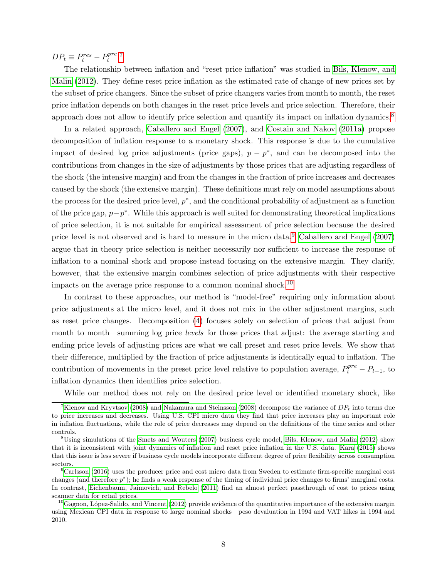$DP_t \equiv P_t^{res} - P_t^{pre}$  $i^{pre}.7$  $i^{pre}.7$ 

The relationship between inflation and "reset price inflation" was studied in [Bils, Klenow, and](#page-23-9) [Malin \(2012\)](#page-23-9). They define reset price inflation as the estimated rate of change of new prices set by the subset of price changers. Since the subset of price changers varies from month to month, the reset price inflation depends on both changes in the reset price levels and price selection. Therefore, their approach does not allow to identify price selection and quantify its impact on inflation dynamics.[8](#page-8-1)

In a related approach, [Caballero and Engel \(2007\)](#page-23-3), and [Costain and Nakov \(2011a\)](#page-24-10) propose decomposition of inflation response to a monetary shock. This response is due to the cumulative impact of desired log price adjustments (price gaps),  $p - p^*$ , and can be decomposed into the contributions from changes in the size of adjustments by those prices that are adjusting regardless of the shock (the intensive margin) and from the changes in the fraction of price increases and decreases caused by the shock (the extensive margin). These definitions must rely on model assumptions about the process for the desired price level,  $p^*$ , and the conditional probability of adjustment as a function of the price gap,  $p-p^*$ . While this approach is well suited for demonstrating theoretical implications of price selection, it is not suitable for empirical assessment of price selection because the desired price level is not observed and is hard to measure in the micro data.<sup>[9](#page-8-2)</sup> [Caballero and Engel \(2007\)](#page-23-3) argue that in theory price selection is neither necessarily nor sufficient to increase the response of inflation to a nominal shock and propose instead focusing on the extensive margin. They clarify, however, that the extensive margin combines selection of price adjustments with their respective impacts on the average price response to a common nominal shock.<sup>[10](#page-8-3)</sup>

In contrast to these approaches, our method is "model-free" requiring only information about price adjustments at the micro level, and it does not mix in the other adjustment margins, such as reset price changes. Decomposition [\(4\)](#page-7-1) focuses solely on selection of prices that adjust from month to month—summing log price *levels* for those prices that adjust: the average starting and ending price levels of adjusting prices are what we call preset and reset price levels. We show that their difference, multiplied by the fraction of price adjustments is identically equal to inflation. The contribution of movements in the preset price level relative to population average,  $P_t^{pre} - P_{t-1}$ , to inflation dynamics then identifies price selection.

While our method does not rely on the desired price level or identified monetary shock, like

<span id="page-8-0"></span><sup>&</sup>lt;sup>7</sup>[Klenow and Kryvtsov](#page-25-7) [\(2008\)](#page-25-8) and [Nakamura and Steinsson](#page-25-8) (2008) decompose the variance of  $DP<sub>t</sub>$  into terms due to price increases and decreases. Using U.S. CPI micro data they find that price increases play an important role in inflation fluctuations, while the role of price decreases may depend on the definitions of the time series and other controls.

<span id="page-8-1"></span><sup>&</sup>lt;sup>8</sup>Using simulations of the [Smets and Wouters](#page-25-0) [\(2007\)](#page-25-0) business cycle model, [Bils, Klenow, and Malin](#page-23-9) [\(2012\)](#page-23-9) show that it is inconsistent with joint dynamics of inflation and reset price inflation in the U.S. data. [Kara](#page-24-11) [\(2015\)](#page-24-11) shows that this issue is less severe if business cycle models incorporate different degree of price flexibility across consumption sectors.

<span id="page-8-2"></span> ${}^{9}$ [Carlsson](#page-23-7) [\(2016\)](#page-23-7) uses the producer price and cost micro data from Sweden to estimate firm-specific marginal cost changes (and therefore  $p^*$ ); he finds a weak response of the timing of individual price changes to firms' marginal costs. In contrast, [Eichenbaum, Jaimovich, and Rebelo](#page-24-6) [\(2011\)](#page-24-6) find an almost perfect passthrough of cost to prices using scanner data for retail prices.

<span id="page-8-3"></span> $^{10}$ Gagnon, López-Salido, and Vincent [\(2012\)](#page-24-7) provide evidence of the quantitative importance of the extensive margin using Mexican CPI data in response to large nominal shocks—peso devaluation in 1994 and VAT hikes in 1994 and 2010.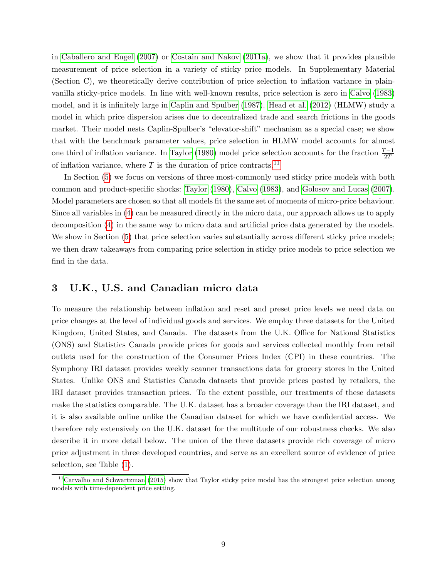in [Caballero and Engel \(2007\)](#page-23-3) or [Costain and Nakov \(2011a\)](#page-24-10), we show that it provides plausible measurement of price selection in a variety of sticky price models. In Supplementary Material (Section C), we theoretically derive contribution of price selection to inflation variance in plainvanilla sticky-price models. In line with well-known results, price selection is zero in [Calvo \(1983\)](#page-23-8) model, and it is infinitely large in [Caplin and Spulber \(1987\)](#page-23-2). [Head et al. \(2012\)](#page-24-5) (HLMW) study a model in which price dispersion arises due to decentralized trade and search frictions in the goods market. Their model nests Caplin-Spulber's "elevator-shift" mechanism as a special case; we show that with the benchmark parameter values, price selection in HLMW model accounts for almost one third of inflation variance. In [Taylor \(1980\)](#page-25-5) model price selection accounts for the fraction  $\frac{T-1}{2T}$ of inflation variance, where T is the duration of price contracts.<sup>[11](#page-9-0)</sup>

In Section [\(5\)](#page-19-0) we focus on versions of three most-commonly used sticky price models with both common and product-specific shocks: [Taylor \(1980\)](#page-25-5), [Calvo \(1983\)](#page-23-8), and [Golosov and Lucas \(2007\)](#page-24-0). Model parameters are chosen so that all models fit the same set of moments of micro-price behaviour. Since all variables in [\(4\)](#page-7-1) can be measured directly in the micro data, our approach allows us to apply decomposition [\(4\)](#page-7-1) in the same way to micro data and artificial price data generated by the models. We show in Section [\(5\)](#page-19-0) that price selection varies substantially across different sticky price models; we then draw takeaways from comparing price selection in sticky price models to price selection we find in the data.

### 3 U.K., U.S. and Canadian micro data

To measure the relationship between inflation and reset and preset price levels we need data on price changes at the level of individual goods and services. We employ three datasets for the United Kingdom, United States, and Canada. The datasets from the U.K. Office for National Statistics (ONS) and Statistics Canada provide prices for goods and services collected monthly from retail outlets used for the construction of the Consumer Prices Index (CPI) in these countries. The Symphony IRI dataset provides weekly scanner transactions data for grocery stores in the United States. Unlike ONS and Statistics Canada datasets that provide prices posted by retailers, the IRI dataset provides transaction prices. To the extent possible, our treatments of these datasets make the statistics comparable. The U.K. dataset has a broader coverage than the IRI dataset, and it is also available online unlike the Canadian dataset for which we have confidential access. We therefore rely extensively on the U.K. dataset for the multitude of our robustness checks. We also describe it in more detail below. The union of the three datasets provide rich coverage of micro price adjustment in three developed countries, and serve as an excellent source of evidence of price selection, see Table [\(1\)](#page-26-0).

<span id="page-9-0"></span> $11$ [Carvalho and Schwartzman](#page-23-4) [\(2015\)](#page-23-4) show that Taylor sticky price model has the strongest price selection among models with time-dependent price setting.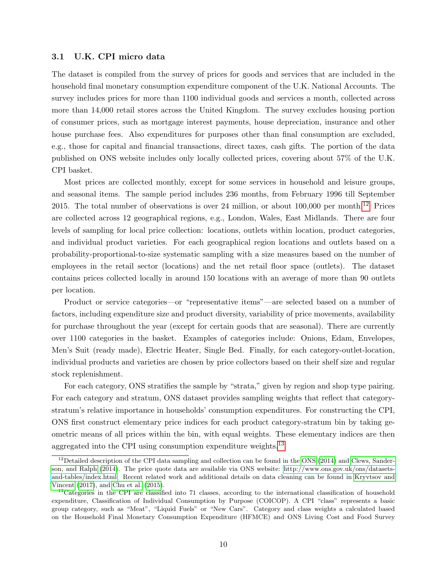### 3.1 U.K. CPI micro data

The dataset is compiled from the survey of prices for goods and services that are included in the household final monetary consumption expenditure component of the U.K. National Accounts. The survey includes prices for more than 1100 individual goods and services a month, collected across more than 14,000 retail stores across the United Kingdom. The survey excludes housing portion of consumer prices, such as mortgage interest payments, house depreciation, insurance and other house purchase fees. Also expenditures for purposes other than final consumption are excluded, e.g., those for capital and financial transactions, direct taxes, cash gifts. The portion of the data published on ONS website includes only locally collected prices, covering about 57% of the U.K. CPI basket.

Most prices are collected monthly, except for some services in household and leisure groups, and seasonal items. The sample period includes 236 months, from February 1996 till September 2015. The total number of observations is over 24 million, or about  $100,000$  per month.<sup>[12](#page-10-0)</sup> Prices are collected across 12 geographical regions, e.g., London, Wales, East Midlands. There are four levels of sampling for local price collection: locations, outlets within location, product categories, and individual product varieties. For each geographical region locations and outlets based on a probability-proportional-to-size systematic sampling with a size measures based on the number of employees in the retail sector (locations) and the net retail floor space (outlets). The dataset contains prices collected locally in around 150 locations with an average of more than 90 outlets per location.

Product or service categories—or "representative items"—are selected based on a number of factors, including expenditure size and product diversity, variability of price movements, availability for purchase throughout the year (except for certain goods that are seasonal). There are currently over 1100 categories in the basket. Examples of categories include: Onions, Edam, Envelopes, Men's Suit (ready made), Electric Heater, Single Bed. Finally, for each category-outlet-location, individual products and varieties are chosen by price collectors based on their shelf size and regular stock replenishment.

For each category, ONS stratifies the sample by "strata," given by region and shop type pairing. For each category and stratum, ONS dataset provides sampling weights that reflect that categorystratum's relative importance in households' consumption expenditures. For constructing the CPI, ONS first construct elementary price indices for each product category-stratum bin by taking geometric means of all prices within the bin, with equal weights. These elementary indices are then aggregated into the CPI using consumption expenditure weights.<sup>[13](#page-10-1)</sup>

<span id="page-10-0"></span><sup>&</sup>lt;sup>12</sup>Detailed description of the CPI data sampling and collection can be found in the [ONS](#page-25-9) [\(2014\)](#page-25-9) and [Clews, Sander](#page-24-12)[son, and Ralph](#page-24-12) [\(2014\)](#page-24-12). The price quote data are available via ONS website: [http://www.ons.gov.uk/ons/datasets](http://www.ons.gov.uk/ons/datasets-and-tables/index.html)[and-tables/index.html.](http://www.ons.gov.uk/ons/datasets-and-tables/index.html) Recent related work and additional details on data cleaning can be found in [Kryvtsov and](#page-25-4) [Vincent](#page-25-4) [\(2017\)](#page-25-4), and [Chu et al.](#page-23-11) [\(2015\)](#page-23-11).

<span id="page-10-1"></span><sup>&</sup>lt;sup>13</sup>Categories in the CPI are classified into 71 classes, according to the international classification of household expenditure, Classification of Individual Consumption by Purpose (COICOP). A CPI "class" represents a basic group category, such as "Meat", "Liquid Fuels" or "New Cars". Category and class weights a calculated based on the Household Final Monetary Consumption Expenditure (HFMCE) and ONS Living Cost and Food Survey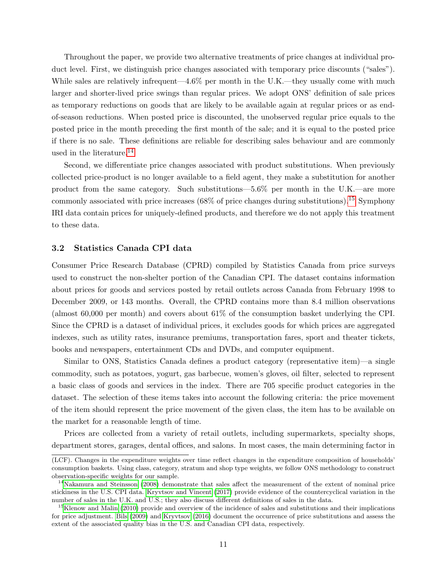Throughout the paper, we provide two alternative treatments of price changes at individual product level. First, we distinguish price changes associated with temporary price discounts ("sales"). While sales are relatively infrequent—4.6% per month in the U.K.—they usually come with much larger and shorter-lived price swings than regular prices. We adopt ONS' definition of sale prices as temporary reductions on goods that are likely to be available again at regular prices or as endof-season reductions. When posted price is discounted, the unobserved regular price equals to the posted price in the month preceding the first month of the sale; and it is equal to the posted price if there is no sale. These definitions are reliable for describing sales behaviour and are commonly used in the literature.<sup>[14](#page-11-0)</sup>

Second, we differentiate price changes associated with product substitutions. When previously collected price-product is no longer available to a field agent, they make a substitution for another product from the same category. Such substitutions—5.6% per month in the U.K.—are more commonly associated with price increases  $(68\%$  of price changes during substitutions).<sup>[15](#page-11-1)</sup> Symphony IRI data contain prices for uniquely-defined products, and therefore we do not apply this treatment to these data.

#### 3.2 Statistics Canada CPI data

Consumer Price Research Database (CPRD) compiled by Statistics Canada from price surveys used to construct the non-shelter portion of the Canadian CPI. The dataset contains information about prices for goods and services posted by retail outlets across Canada from February 1998 to December 2009, or 143 months. Overall, the CPRD contains more than 8.4 million observations (almost 60,000 per month) and covers about 61% of the consumption basket underlying the CPI. Since the CPRD is a dataset of individual prices, it excludes goods for which prices are aggregated indexes, such as utility rates, insurance premiums, transportation fares, sport and theater tickets, books and newspapers, entertainment CDs and DVDs, and computer equipment.

Similar to ONS, Statistics Canada defines a product category (representative item)—a single commodity, such as potatoes, yogurt, gas barbecue, women's gloves, oil filter, selected to represent a basic class of goods and services in the index. There are 705 specific product categories in the dataset. The selection of these items takes into account the following criteria: the price movement of the item should represent the price movement of the given class, the item has to be available on the market for a reasonable length of time.

Prices are collected from a variety of retail outlets, including supermarkets, specialty shops, department stores, garages, dental offices, and salons. In most cases, the main determining factor in

<sup>(</sup>LCF). Changes in the expenditure weights over time reflect changes in the expenditure composition of households' consumption baskets. Using class, category, stratum and shop type weights, we follow ONS methodology to construct observation-specific weights for our sample.

<span id="page-11-0"></span><sup>&</sup>lt;sup>14</sup>[Nakamura and Steinsson](#page-25-8) [\(2008\)](#page-25-8) demonstrate that sales affect the measurement of the extent of nominal price stickiness in the U.S. CPI data. [Kryvtsov and Vincent](#page-25-4) [\(2017\)](#page-25-4) provide evidence of the countercyclical variation in the number of sales in the U.K. and U.S.; they also discuss different definitions of sales in the data.

<span id="page-11-1"></span><sup>&</sup>lt;sup>15</sup>[Klenow and Malin](#page-25-10) [\(2010\)](#page-25-10) provide and overview of the incidence of sales and substitutions and their implications for price adjustment. [Bils](#page-23-12) [\(2009\)](#page-23-12) and [Kryvtsov](#page-25-11) [\(2016\)](#page-25-11) document the occurrence of price substitutions and assess the extent of the associated quality bias in the U.S. and Canadian CPI data, respectively.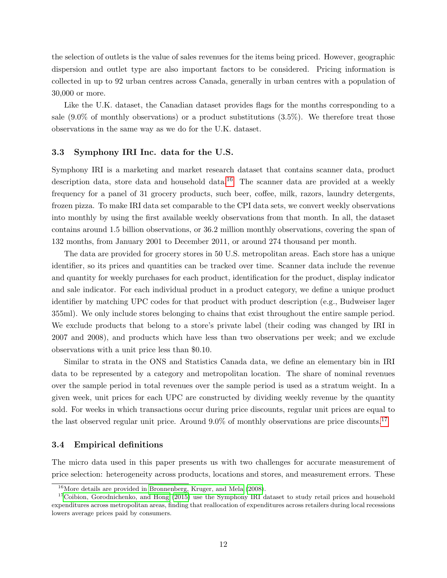the selection of outlets is the value of sales revenues for the items being priced. However, geographic dispersion and outlet type are also important factors to be considered. Pricing information is collected in up to 92 urban centres across Canada, generally in urban centres with a population of 30,000 or more.

Like the U.K. dataset, the Canadian dataset provides flags for the months corresponding to a sale  $(9.0\%$  of monthly observations) or a product substitutions  $(3.5\%)$ . We therefore treat those observations in the same way as we do for the U.K. dataset.

#### 3.3 Symphony IRI Inc. data for the U.S.

Symphony IRI is a marketing and market research dataset that contains scanner data, product description data, store data and household data.<sup>[16](#page-12-0)</sup> The scanner data are provided at a weekly frequency for a panel of 31 grocery products, such beer, coffee, milk, razors, laundry detergents, frozen pizza. To make IRI data set comparable to the CPI data sets, we convert weekly observations into monthly by using the first available weekly observations from that month. In all, the dataset contains around 1.5 billion observations, or 36.2 million monthly observations, covering the span of 132 months, from January 2001 to December 2011, or around 274 thousand per month.

The data are provided for grocery stores in 50 U.S. metropolitan areas. Each store has a unique identifier, so its prices and quantities can be tracked over time. Scanner data include the revenue and quantity for weekly purchases for each product, identification for the product, display indicator and sale indicator. For each individual product in a product category, we define a unique product identifier by matching UPC codes for that product with product description (e.g., Budweiser lager 355ml). We only include stores belonging to chains that exist throughout the entire sample period. We exclude products that belong to a store's private label (their coding was changed by IRI in 2007 and 2008), and products which have less than two observations per week; and we exclude observations with a unit price less than \$0.10.

Similar to strata in the ONS and Statistics Canada data, we define an elementary bin in IRI data to be represented by a category and metropolitan location. The share of nominal revenues over the sample period in total revenues over the sample period is used as a stratum weight. In a given week, unit prices for each UPC are constructed by dividing weekly revenue by the quantity sold. For weeks in which transactions occur during price discounts, regular unit prices are equal to the last observed regular unit price. Around 9.0% of monthly observations are price discounts.<sup>[17](#page-12-1)</sup>

#### <span id="page-12-2"></span>3.4 Empirical definitions

The micro data used in this paper presents us with two challenges for accurate measurement of price selection: heterogeneity across products, locations and stores, and measurement errors. These

<span id="page-12-1"></span><span id="page-12-0"></span><sup>16</sup>More details are provided in [Bronnenberg, Kruger, and Mela](#page-23-13) [\(2008\)](#page-23-13).

 $17$ [Coibion, Gorodnichenko, and Hong](#page-24-13) [\(2015\)](#page-24-13) use the Symphony IRI dataset to study retail prices and household expenditures across metropolitan areas, finding that reallocation of expenditures across retailers during local recessions lowers average prices paid by consumers.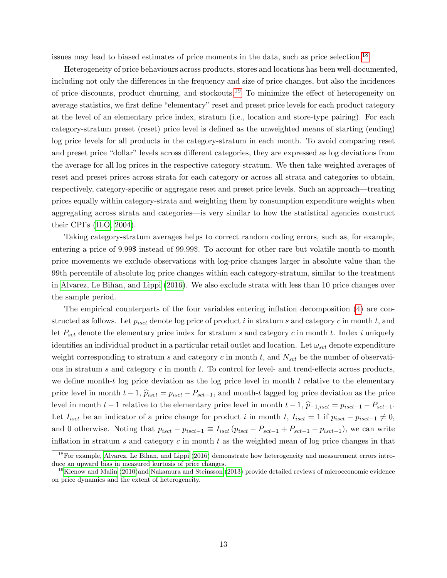issues may lead to biased estimates of price moments in the data, such as price selection.[18](#page-13-0)

Heterogeneity of price behaviours across products, stores and locations has been well-documented, including not only the differences in the frequency and size of price changes, but also the incidences of price discounts, product churning, and stockouts.<sup>[19](#page-13-1)</sup> To minimize the effect of heterogeneity on average statistics, we first define "elementary" reset and preset price levels for each product category at the level of an elementary price index, stratum (i.e., location and store-type pairing). For each category-stratum preset (reset) price level is defined as the unweighted means of starting (ending) log price levels for all products in the category-stratum in each month. To avoid comparing reset and preset price "dollar" levels across different categories, they are expressed as log deviations from the average for all log prices in the respective category-stratum. We then take weighted averages of reset and preset prices across strata for each category or across all strata and categories to obtain, respectively, category-specific or aggregate reset and preset price levels. Such an approach—treating prices equally within category-strata and weighting them by consumption expenditure weights when aggregating across strata and categories—is very similar to how the statistical agencies construct their CPI's [\(ILO, 2004\)](#page-24-8).

Taking category-stratum averages helps to correct random coding errors, such as, for example, entering a price of 9.99\$ instead of 99.99\$. To account for other rare but volatile month-to-month price movements we exclude observations with log-price changes larger in absolute value than the 99th percentile of absolute log price changes within each category-stratum, similar to the treatment in [Alvarez, Le Bihan, and Lippi \(2016\)](#page-23-6). We also exclude strata with less than 10 price changes over the sample period.

The empirical counterparts of the four variables entering inflation decomposition [\(4\)](#page-7-1) are constructed as follows. Let  $p_{i, set}$  denote log price of product i in stratum s and category c in month t, and let  $P_{sct}$  denote the elementary price index for stratum s and category c in month t. Index i uniquely identifies an individual product in a particular retail outlet and location. Let  $\omega_{sct}$  denote expenditure weight corresponding to stratum s and category c in month t, and  $N_{sct}$  be the number of observations in stratum s and category c in month t. To control for level- and trend-effects across products, we define month-t log price deviation as the log price level in month  $t$  relative to the elementary price level in month  $t-1$ ,  $\hat{p}_{isct} = p_{isct} - P_{sct-1}$ , and month-t lagged log price deviation as the price level in month  $t-1$  relative to the elementary price level in month  $t-1$ ,  $\hat{p}_{-1,iset} = p_{isct-1} - P_{sct-1}$ . Let  $I_{i, set}$  be an indicator of a price change for product i in month t,  $I_{i, set} = 1$  if  $p_{i, set} - p_{i, set-1} \neq 0$ , and 0 otherwise. Noting that  $p_{isct} - p_{isct-1} \equiv I_{isct} (p_{isct} - P_{sct-1} + P_{sct-1} - p_{isct-1})$ , we can write inflation in stratum s and category  $c$  in month  $t$  as the weighted mean of log price changes in that

<span id="page-13-0"></span><sup>18</sup>For example, [Alvarez, Le Bihan, and Lippi](#page-23-6) [\(2016\)](#page-23-6) demonstrate how heterogeneity and measurement errors introduce an upward bias in measured kurtosis of price changes.

<span id="page-13-1"></span><sup>&</sup>lt;sup>19</sup>[Klenow and Malin](#page-25-10) [\(2010\)](#page-25-10)and [Nakamura and Steinsson](#page-25-1) [\(2013\)](#page-25-1) provide detailed reviews of microeconomic evidence on price dynamics and the extent of heterogeneity.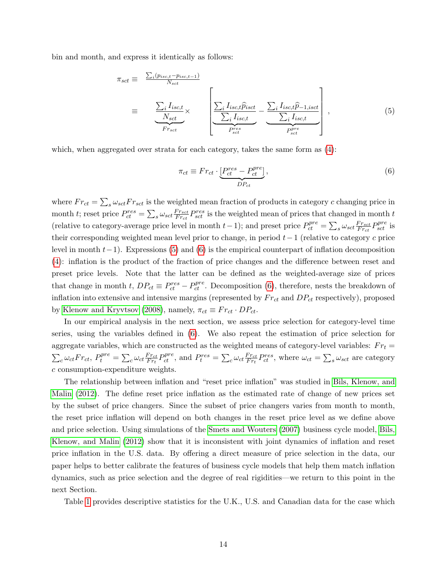bin and month, and express it identically as follows:

<span id="page-14-0"></span>
$$
\pi_{sct} \equiv \frac{\sum_{i}(p_{isc,t} - p_{isc,t-1})}{N_{sct}} \equiv \frac{\sum_{i} I_{isc,t}}{N_{sct}} \times \left[ \frac{\sum_{i} I_{isc,t} \hat{p}_{isct}}{\sum_{i} I_{isc,t}} - \frac{\sum_{i} I_{isc,t} \hat{p}_{-1,isct}}{\sum_{i} I_{isc,t}} \right],
$$
\n
$$
\left[ \frac{\sum_{i} I_{isc,t} \hat{p}_{isct}}{P_{sct}} - \frac{\sum_{i} I_{isc,t} \hat{p}_{-1,isct}}{P_{sct}} \right],
$$
\n
$$
(5)
$$

which, when aggregated over strata for each category, takes the same form as [\(4\)](#page-7-1):

<span id="page-14-1"></span>
$$
\pi_{ct} \equiv Fr_{ct} \cdot \underbrace{\left[P_{ct}^{res} - P_{ct}^{pre}\right]}_{DP_{ct}},\tag{6}
$$

where  $Fr_{ct} = \sum_{s} \omega_{sct} Fr_{sct}$  is the weighted mean fraction of products in category c changing price in month t; reset price  $P_{ct}^{res} = \sum_s \omega_{sct} \frac{F_{r_{sct}}}{F_{r_{ct}}}$  $F_{r_{c}t}^{r_{s_{c}t}}$   $P_{sct}^{res}$  is the weighted mean of prices that changed in month  $t$ (relative to category-average price level in month  $t-1$ ); and preset price  $P_{ct}^{pre} = \sum_{s} \omega_{sct} \frac{F_{Tst}}{F_{Tct}}$  $\frac{F r_{sct}}{F r_{ct}} P_{sct}^{pre}$  is their corresponding weighted mean level prior to change, in period  $t-1$  (relative to category c price level in month  $t-1$ ). Expressions [\(5\)](#page-14-0) and [\(6\)](#page-14-1) is the empirical counterpart of inflation decomposition [\(4\)](#page-7-1): inflation is the product of the fraction of price changes and the difference between reset and preset price levels. Note that the latter can be defined as the weighted-average size of prices that change in month t,  $DP_{ct} \equiv P_{ct}^{res} - P_{ct}^{pre}$ . Decomposition [\(6\)](#page-14-1), therefore, nests the breakdown of inflation into extensive and intensive margins (represented by  $Fr_{ct}$  and  $DP_{ct}$  respectively), proposed by [Klenow and Kryvtsov \(2008\)](#page-25-7), namely,  $\pi_{ct} \equiv Fr_{ct} \cdot DP_{ct}$ .

In our empirical analysis in the next section, we assess price selection for category-level time series, using the variables defined in [\(6\)](#page-14-1). We also repeat the estimation of price selection for aggregate variables, which are constructed as the weighted means of category-level variables:  $Fr_t =$  $\sum_{c} \omega_{ct} Fr_{ct}, P_t^{pre} = \sum_{c} \omega_{ct} \frac{Fr_{ct}}{Fr_t}$  $\frac{F r_{ct}}{F r_t} P_{ct}^{pre}$ , and  $P_t^{res} = \sum_c \omega_{ct} \frac{F r_{ct}}{F r_t}$  $\frac{F r_{ct}}{F r_t} P_{ct}^{res}$ , where  $\omega_{ct} = \sum_s \omega_{sct}$  are category c consumption-expenditure weights.

The relationship between inflation and "reset price inflation" was studied in [Bils, Klenow, and](#page-23-9) [Malin \(2012\)](#page-23-9). The define reset price inflation as the estimated rate of change of new prices set by the subset of price changers. Since the subset of price changers varies from month to month, the reset price inflation will depend on both changes in the reset price level as we define above and price selection. Using simulations of the [Smets and Wouters \(2007\)](#page-25-0) business cycle model, [Bils,](#page-23-9) [Klenow, and Malin \(2012\)](#page-23-9) show that it is inconsistent with joint dynamics of inflation and reset price inflation in the U.S. data. By offering a direct measure of price selection in the data, our paper helps to better calibrate the features of business cycle models that help them match inflation dynamics, such as price selection and the degree of real rigidities—we return to this point in the next Section.

Table [1](#page-26-0) provides descriptive statistics for the U.K., U.S. and Canadian data for the case which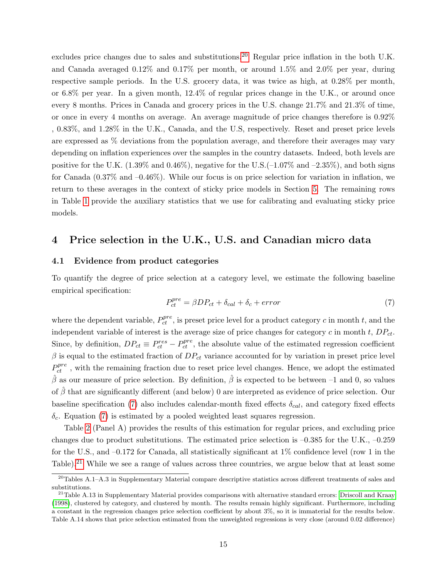excludes price changes due to sales and substitutions.<sup>[20](#page-15-0)</sup> Regular price inflation in the both U.K. and Canada averaged 0.12% and 0.17% per month, or around 1.5% and 2.0% per year, during respective sample periods. In the U.S. grocery data, it was twice as high, at 0.28% per month, or 6.8% per year. In a given month, 12.4% of regular prices change in the U.K., or around once every 8 months. Prices in Canada and grocery prices in the U.S. change 21.7% and 21.3% of time, or once in every 4 months on average. An average magnitude of price changes therefore is 0.92% , 0.83%, and 1.28% in the U.K., Canada, and the U.S, respectively. Reset and preset price levels are expressed as % deviations from the population average, and therefore their averages may vary depending on inflation experiences over the samples in the country datasets. Indeed, both levels are positive for the U.K.  $(1.39\% \text{ and } 0.46\%)$ , negative for the U.S.  $(-1.07\% \text{ and } -2.35\%)$ , and both signs for Canada  $(0.37\%$  and  $-0.46\%)$ . While our focus is on price selection for variation in inflation, we return to these averages in the context of sticky price models in Section [5.](#page-19-0) The remaining rows in Table [1](#page-26-0) provide the auxiliary statistics that we use for calibrating and evaluating sticky price models.

### 4 Price selection in the U.K., U.S. and Canadian micro data

#### 4.1 Evidence from product categories

To quantify the degree of price selection at a category level, we estimate the following baseline empirical specification:

<span id="page-15-1"></span>
$$
P_{ct}^{pre} = \beta DP_{ct} + \delta_{cal} + error \tag{7}
$$

where the dependent variable,  $P_{ct}^{pre}$ , is preset price level for a product category c in month t, and the independent variable of interest is the average size of price changes for category c in month t,  $DP_{ct}$ . Since, by definition,  $DP_{ct} \equiv P_{ct}^{res} - P_{ct}^{pre}$ , the absolute value of the estimated regression coefficient  $\beta$  is equal to the estimated fraction of  $DP_{ct}$  variance accounted for by variation in preset price level  $P_{ct}^{pre}$ , with the remaining fraction due to reset price level changes. Hence, we adopt the estimated  $\hat{\beta}$  as our measure of price selection. By definition,  $\hat{\beta}$  is expected to be between –1 and 0, so values of  $\hat{\beta}$  that are significantly different (and below) 0 are interpreted as evidence of price selection. Our baseline specification [\(7\)](#page-15-1) also includes calendar-month fixed effects  $\delta_{cal}$ , and category fixed effects  $\delta_c$ . Equation [\(7\)](#page-15-1) is estimated by a pooled weighted least squares regression.

Table [2](#page-27-0) (Panel A) provides the results of this estimation for regular prices, and excluding price changes due to product substitutions. The estimated price selection is –0.385 for the U.K., –0.259 for the U.S., and –0.172 for Canada, all statistically significant at 1% confidence level (row 1 in the Table).<sup>[21](#page-15-2)</sup> While we see a range of values across three countries, we argue below that at least some

<span id="page-15-0"></span> $\frac{20}{20}$ Tables A.1–A.3 in Supplementary Material compare descriptive statistics across different treatments of sales and substitutions.

<span id="page-15-2"></span> $^{21}$ Table A.13 in Supplementary Material provides comparisons with alternative standard errors: [Driscoll and Kraay](#page-24-14) [\(1998\)](#page-24-14), clustered by category, and clustered by month. The results remain highly significant. Furthermore, including a constant in the regression changes price selection coefficient by about 3%, so it is immaterial for the results below. Table A.14 shows that price selection estimated from the unweighted regressions is very close (around 0.02 difference)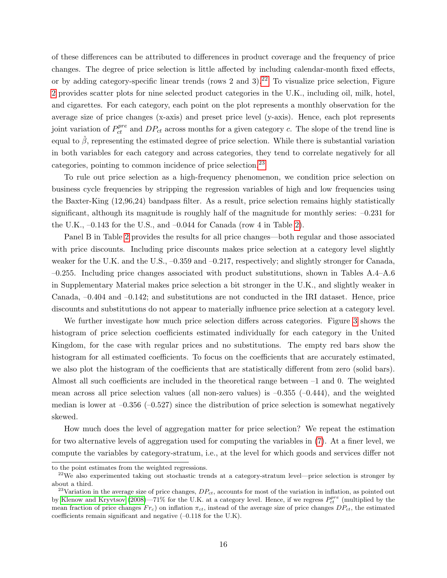of these differences can be attributed to differences in product coverage and the frequency of price changes. The degree of price selection is little affected by including calendar-month fixed effects, or by adding category-specific linear trends (rows 2 and  $3$ ).<sup>[22](#page-16-0)</sup> To visualize price selection, Figure [2](#page-34-0) provides scatter plots for nine selected product categories in the U.K., including oil, milk, hotel, and cigarettes. For each category, each point on the plot represents a monthly observation for the average size of price changes (x-axis) and preset price level (y-axis). Hence, each plot represents joint variation of  $P_{ct}^{pre}$  and  $DP_{ct}$  across months for a given category c. The slope of the trend line is equal to  $\hat{\beta}$ , representing the estimated degree of price selection. While there is substantial variation in both variables for each category and across categories, they tend to correlate negatively for all categories, pointing to common incidence of price selection.[23](#page-16-1)

To rule out price selection as a high-frequency phenomenon, we condition price selection on business cycle frequencies by stripping the regression variables of high and low frequencies using the Baxter-King (12,96,24) bandpass filter. As a result, price selection remains highly statistically significant, although its magnitude is roughly half of the magnitude for monthly series: –0.231 for the U.K.,  $-0.143$  for the U.S., and  $-0.044$  for Canada (row 4 in Table [2\)](#page-27-0).

Panel B in Table [2](#page-27-0) provides the results for all price changes—both regular and those associated with price discounts. Including price discounts makes price selection at a category level slightly weaker for the U.K. and the U.S.,  $-0.359$  and  $-0.217$ , respectively; and slightly stronger for Canada, –0.255. Including price changes associated with product substitutions, shown in Tables A.4–A.6 in Supplementary Material makes price selection a bit stronger in the U.K., and slightly weaker in Canada, –0.404 and –0.142; and substitutions are not conducted in the IRI dataset. Hence, price discounts and substitutions do not appear to materially influence price selection at a category level.

We further investigate how much price selection differs across categories. Figure [3](#page-35-0) shows the histogram of price selection coefficients estimated individually for each category in the United Kingdom, for the case with regular prices and no substitutions. The empty red bars show the histogram for all estimated coefficients. To focus on the coefficients that are accurately estimated, we also plot the histogram of the coefficients that are statistically different from zero (solid bars). Almost all such coefficients are included in the theoretical range between –1 and 0. The weighted mean across all price selection values (all non-zero values) is  $-0.355$  ( $-0.444$ ), and the weighted median is lower at  $-0.356$  ( $-0.527$ ) since the distribution of price selection is somewhat negatively skewed.

How much does the level of aggregation matter for price selection? We repeat the estimation for two alternative levels of aggregation used for computing the variables in [\(7\)](#page-15-1). At a finer level, we compute the variables by category-stratum, i.e., at the level for which goods and services differ not

to the point estimates from the weighted regressions.

<span id="page-16-0"></span><sup>&</sup>lt;sup>22</sup>We also experimented taking out stochastic trends at a category-stratum level—price selection is stronger by about a third.

<span id="page-16-1"></span><sup>&</sup>lt;sup>23</sup>Variation in the average size of price changes,  $DP_{ct}$ , accounts for most of the variation in inflation, as pointed out by [Klenow and Kryvtsov](#page-25-7) [\(2008\)](#page-25-7)—71% for the U.K. at a category level. Hence, if we regress  $P_{ct}^{pre}$  (multiplied by the mean fraction of price changes  $Fr_c$ ) on inflation  $\pi_{ct}$ , instead of the average size of price changes  $DP_{ct}$ , the estimated coefficients remain significant and negative  $(-0.118$  for the U.K).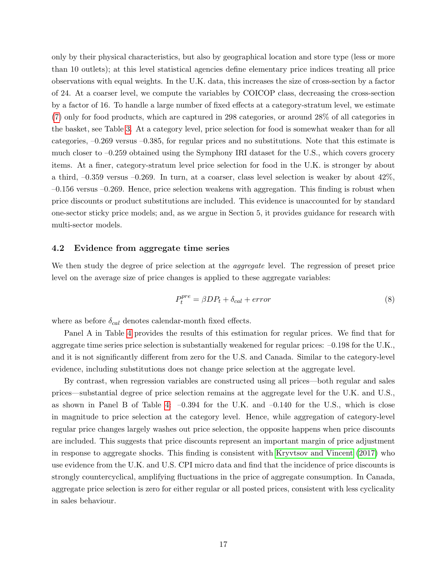only by their physical characteristics, but also by geographical location and store type (less or more than 10 outlets); at this level statistical agencies define elementary price indices treating all price observations with equal weights. In the U.K. data, this increases the size of cross-section by a factor of 24. At a coarser level, we compute the variables by COICOP class, decreasing the cross-section by a factor of 16. To handle a large number of fixed effects at a category-stratum level, we estimate [\(7\)](#page-15-1) only for food products, which are captured in 298 categories, or around 28% of all categories in the basket, see Table [3.](#page-28-0) At a category level, price selection for food is somewhat weaker than for all categories, –0.269 versus –0.385, for regular prices and no substitutions. Note that this estimate is much closer to –0.259 obtained using the Symphony IRI dataset for the U.S., which covers grocery items. At a finer, category-stratum level price selection for food in the U.K. is stronger by about a third, –0.359 versus –0.269. In turn, at a coarser, class level selection is weaker by about 42%, –0.156 versus –0.269. Hence, price selection weakens with aggregation. This finding is robust when price discounts or product substitutions are included. This evidence is unaccounted for by standard one-sector sticky price models; and, as we argue in Section 5, it provides guidance for research with multi-sector models.

#### 4.2 Evidence from aggregate time series

We then study the degree of price selection at the *aggregate* level. The regression of preset price level on the average size of price changes is applied to these aggregate variables:

<span id="page-17-0"></span>
$$
P_t^{pre} = \beta DP_t + \delta_{cal} + error \tag{8}
$$

where as before  $\delta_{cal}$  denotes calendar-month fixed effects.

Panel A in Table [4](#page-29-0) provides the results of this estimation for regular prices. We find that for aggregate time series price selection is substantially weakened for regular prices: –0.198 for the U.K., and it is not significantly different from zero for the U.S. and Canada. Similar to the category-level evidence, including substitutions does not change price selection at the aggregate level.

By contrast, when regression variables are constructed using all prices—both regular and sales prices—substantial degree of price selection remains at the aggregate level for the U.K. and U.S., as shown in Panel B of Table [4:](#page-29-0)  $-0.394$  for the U.K. and  $-0.140$  for the U.S., which is close in magnitude to price selection at the category level. Hence, while aggregation of category-level regular price changes largely washes out price selection, the opposite happens when price discounts are included. This suggests that price discounts represent an important margin of price adjustment in response to aggregate shocks. This finding is consistent with [Kryvtsov and Vincent \(2017\)](#page-25-4) who use evidence from the U.K. and U.S. CPI micro data and find that the incidence of price discounts is strongly countercyclical, amplifying fluctuations in the price of aggregate consumption. In Canada, aggregate price selection is zero for either regular or all posted prices, consistent with less cyclicality in sales behaviour.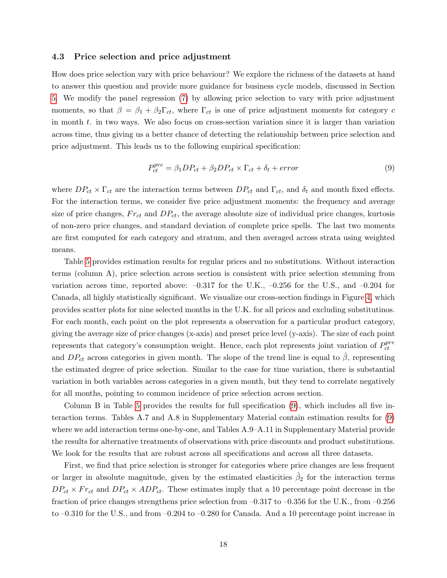#### <span id="page-18-1"></span>4.3 Price selection and price adjustment

How does price selection vary with price behaviour? We explore the richness of the datasets at hand to answer this question and provide more guidance for business cycle models, discussed in Section [5.](#page-19-0) We modify the panel regression [\(7\)](#page-15-1) by allowing price selection to vary with price adjustment moments, so that  $\beta = \beta_1 + \beta_2 \Gamma_{ct}$ , where  $\Gamma_{ct}$  is one of price adjustment moments for category c in month t. in two ways. We also focus on cross-section variation since it is larger than variation across time, thus giving us a better chance of detecting the relationship between price selection and price adjustment. This leads us to the following empirical specification:

<span id="page-18-0"></span>
$$
P_{ct}^{pre} = \beta_1 DP_{ct} + \beta_2 DP_{ct} \times \Gamma_{ct} + \delta_t + error \tag{9}
$$

where  $DP_{ct} \times \Gamma_{ct}$  are the interaction terms between  $DP_{ct}$  and  $\Gamma_{ct}$ , and  $\delta_t$  and month fixed effects. For the interaction terms, we consider five price adjustment moments: the frequency and average size of price changes,  $Fr_{ct}$  and  $DP_{ct}$ , the average absolute size of individual price changes, kurtosis of non-zero price changes, and standard deviation of complete price spells. The last two moments are first computed for each category and stratum, and then averaged across strata using weighted means.

Table [5](#page-30-0) provides estimation results for regular prices and no substitutions. Without interaction terms (column A), price selection across section is consistent with price selection stemming from variation across time, reported above:  $-0.317$  for the U.K.,  $-0.256$  for the U.S., and  $-0.204$  for Canada, all highly statistically significant. We visualize our cross-section findings in Figure [4,](#page-36-0) which provides scatter plots for nine selected months in the U.K. for all prices and excluding substitutinos. For each month, each point on the plot represents a observation for a particular product category, giving the average size of price changes (x-axis) and preset price level (y-axis). The size of each point represents that category's consumption weight. Hence, each plot represents joint variation of  $P_{ct}^{pre}$ ct and  $DP_{ct}$  across categories in given month. The slope of the trend line is equal to  $\hat{\beta}$ , representing the estimated degree of price selection. Similar to the case for time variation, there is substantial variation in both variables across categories in a given month, but they tend to correlate negatively for all months, pointing to common incidence of price selection across section.

Column B in Table [5](#page-30-0) provides the results for full specification [\(9\)](#page-18-0), which includes all five interaction terms. Tables A.7 and A.8 in Supplementary Material contain estimation results for [\(9\)](#page-18-0) where we add interaction terms one-by-one, and Tables A.9–A.11 in Supplementary Material provide the results for alternative treatments of observations with price discounts and product substitutions. We look for the results that are robust across all specifications and across all three datasets.

First, we find that price selection is stronger for categories where price changes are less frequent or larger in absolute magnitude, given by the estimated elasticities  $\hat{\beta}_2$  for the interaction terms  $DP_{ct} \times Fr_{ct}$  and  $DP_{ct} \times ADP_{ct}$ . These estimates imply that a 10 percentage point decrease in the fraction of price changes strengthens price selection from  $-0.317$  to  $-0.356$  for the U.K., from  $-0.256$ to –0.310 for the U.S., and from –0.204 to –0.280 for Canada. And a 10 percentage point increase in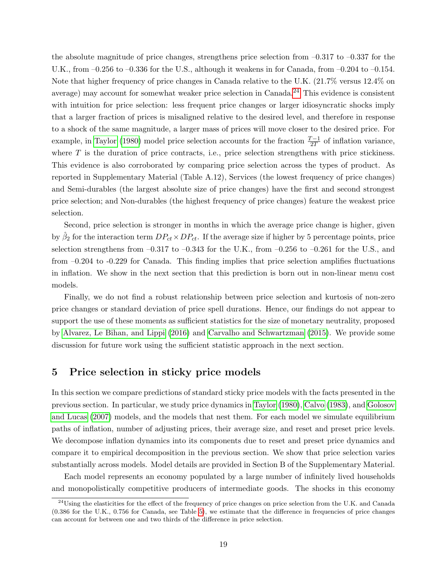the absolute magnitude of price changes, strengthens price selection from  $-0.317$  to  $-0.337$  for the U.K., from  $-0.256$  to  $-0.336$  for the U.S., although it weakens in for Canada, from  $-0.204$  to  $-0.154$ . Note that higher frequency of price changes in Canada relative to the U.K. (21.7% versus 12.4% on average) may account for somewhat weaker price selection in Canada.[24](#page-19-1) This evidence is consistent with intuition for price selection: less frequent price changes or larger idiosyncratic shocks imply that a larger fraction of prices is misaligned relative to the desired level, and therefore in response to a shock of the same magnitude, a larger mass of prices will move closer to the desired price. For example, in [Taylor \(1980\)](#page-25-5) model price selection accounts for the fraction  $\frac{T-1}{2T}$  of inflation variance, where  $T$  is the duration of price contracts, i.e., price selection strengthens with price stickiness. This evidence is also corroborated by comparing price selection across the types of product. As reported in Supplementary Material (Table A.12), Services (the lowest frequency of price changes) and Semi-durables (the largest absolute size of price changes) have the first and second strongest price selection; and Non-durables (the highest frequency of price changes) feature the weakest price selection.

Second, price selection is stronger in months in which the average price change is higher, given by  $\hat{\beta}_2$  for the interaction term  $DP_{ct} \times DP_{ct}$ . If the average size if higher by 5 percentage points, price selection strengthens from  $-0.317$  to  $-0.343$  for the U.K., from  $-0.256$  to  $-0.261$  for the U.S., and from –0.204 to -0.229 for Canada. This finding implies that price selection amplifies fluctuations in inflation. We show in the next section that this prediction is born out in non-linear menu cost models.

Finally, we do not find a robust relationship between price selection and kurtosis of non-zero price changes or standard deviation of price spell durations. Hence, our findings do not appear to support the use of these moments as sufficient statistics for the size of monetary neutrality, proposed by [Alvarez, Le Bihan, and Lippi \(2016\)](#page-23-6) and [Carvalho and Schwartzman \(2015\)](#page-23-4). We provide some discussion for future work using the sufficient statistic approach in the next section.

### <span id="page-19-0"></span>5 Price selection in sticky price models

In this section we compare predictions of standard sticky price models with the facts presented in the previous section. In particular, we study price dynamics in [Taylor \(1980\)](#page-25-5), [Calvo \(1983\)](#page-23-8), and [Golosov](#page-24-0) [and Lucas \(2007\)](#page-24-0) models, and the models that nest them. For each model we simulate equilibrium paths of inflation, number of adjusting prices, their average size, and reset and preset price levels. We decompose inflation dynamics into its components due to reset and preset price dynamics and compare it to empirical decomposition in the previous section. We show that price selection varies substantially across models. Model details are provided in Section B of the Supplementary Material.

Each model represents an economy populated by a large number of infinitely lived households and monopolistically competitive producers of intermediate goods. The shocks in this economy

<span id="page-19-1"></span><sup>&</sup>lt;sup>24</sup>Using the elasticities for the effect of the frequency of price changes on price selection from the U.K. and Canada (0.386 for the U.K., 0.756 for Canada, see Table [5\)](#page-30-0), we estimate that the difference in frequencies of price changes can account for between one and two thirds of the difference in price selection.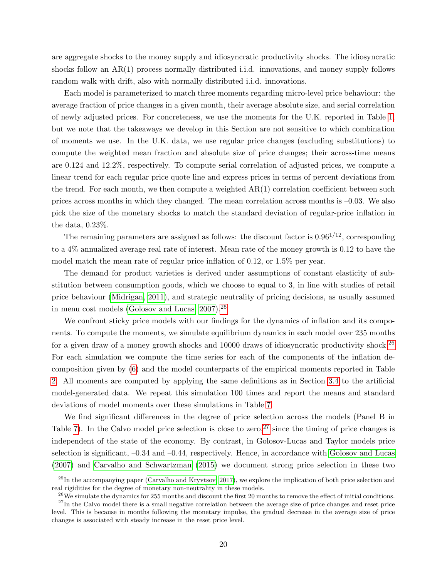are aggregate shocks to the money supply and idiosyncratic productivity shocks. The idiosyncratic shocks follow an AR(1) process normally distributed i.i.d. innovations, and money supply follows random walk with drift, also with normally distributed i.i.d. innovations.

Each model is parameterized to match three moments regarding micro-level price behaviour: the average fraction of price changes in a given month, their average absolute size, and serial correlation of newly adjusted prices. For concreteness, we use the moments for the U.K. reported in Table [1,](#page-26-0) but we note that the takeaways we develop in this Section are not sensitive to which combination of moments we use. In the U.K. data, we use regular price changes (excluding substitutions) to compute the weighted mean fraction and absolute size of price changes; their across-time means are 0.124 and 12.2%, respectively. To compute serial correlation of adjusted prices, we compute a linear trend for each regular price quote line and express prices in terms of percent deviations from the trend. For each month, we then compute a weighted  $AR(1)$  correlation coefficient between such prices across months in which they changed. The mean correlation across months is –0.03. We also pick the size of the monetary shocks to match the standard deviation of regular-price inflation in the data, 0.23%.

The remaining parameters are assigned as follows: the discount factor is  $0.96^{1/12}$ , corresponding to a 4% annualized average real rate of interest. Mean rate of the money growth is 0.12 to have the model match the mean rate of regular price inflation of 0.12, or 1.5% per year.

The demand for product varieties is derived under assumptions of constant elasticity of substitution between consumption goods, which we choose to equal to 3, in line with studies of retail price behaviour [\(Midrigan, 2011\)](#page-25-3), and strategic neutrality of pricing decisions, as usually assumed in menu cost models [\(Golosov and Lucas, 2007\)](#page-24-0).[25](#page-20-0)

We confront sticky price models with our findings for the dynamics of inflation and its components. To compute the moments, we simulate equilibrium dynamics in each model over 235 months for a given draw of a money growth shocks and  $10000$  draws of idiosyncratic productivity shock.<sup>[26](#page-20-1)</sup> For each simulation we compute the time series for each of the components of the inflation decomposition given by [\(6\)](#page-14-1) and the model counterparts of the empirical moments reported in Table [2.](#page-27-0) All moments are computed by applying the same definitions as in Section [3.4](#page-12-2) to the artificial model-generated data. We repeat this simulation 100 times and report the means and standard deviations of model moments over these simulations in Table [7.](#page-32-0)

We find significant differences in the degree of price selection across the models (Panel B in Table [7\)](#page-32-0). In the Calvo model price selection is close to zero,  $27 \text{ since the timing of price changes is}$  $27 \text{ since the timing of price changes is}$ independent of the state of the economy. By contrast, in Golosov-Lucas and Taylor models price selection is significant,  $-0.34$  and  $-0.44$ , respectively. Hence, in accordance with [Golosov and Lucas](#page-24-0) [\(2007\)](#page-24-0) and [Carvalho and Schwartzman \(2015\)](#page-23-4) we document strong price selection in these two

<span id="page-20-0"></span> $^{25}$ In the accompanying paper [\(Carvalho and Kryvtsov, 2017\)](#page-23-14), we explore the implication of both price selection and real rigidities for the degree of monetary non-neutrality in these models.

<span id="page-20-2"></span><span id="page-20-1"></span> $^{26}$ We simulate the dynamics for 255 months and discount the first 20 months to remove the effect of initial conditions.

 $27$ In the Calvo model there is a small negative correlation between the average size of price changes and reset price level. This is because in months following the monetary impulse, the gradual decrease in the average size of price changes is associated with steady increase in the reset price level.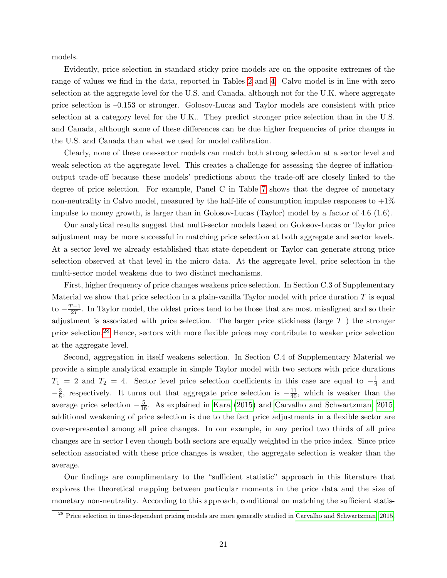models.

Evidently, price selection in standard sticky price models are on the opposite extremes of the range of values we find in the data, reported in Tables [2](#page-27-0) and [4.](#page-29-0) Calvo model is in line with zero selection at the aggregate level for the U.S. and Canada, although not for the U.K. where aggregate price selection is –0.153 or stronger. Golosov-Lucas and Taylor models are consistent with price selection at a category level for the U.K.. They predict stronger price selection than in the U.S. and Canada, although some of these differences can be due higher frequencies of price changes in the U.S. and Canada than what we used for model calibration.

Clearly, none of these one-sector models can match both strong selection at a sector level and weak selection at the aggregate level. This creates a challenge for assessing the degree of inflationoutput trade-off because these models' predictions about the trade-off are closely linked to the degree of price selection. For example, Panel C in Table [7](#page-32-0) shows that the degree of monetary non-neutrality in Calvo model, measured by the half-life of consumption impulse responses to  $+1\%$ impulse to money growth, is larger than in Golosov-Lucas (Taylor) model by a factor of 4.6 (1.6).

Our analytical results suggest that multi-sector models based on Golosov-Lucas or Taylor price adjustment may be more successful in matching price selection at both aggregate and sector levels. At a sector level we already established that state-dependent or Taylor can generate strong price selection observed at that level in the micro data. At the aggregate level, price selection in the multi-sector model weakens due to two distinct mechanisms.

First, higher frequency of price changes weakens price selection. In Section C.3 of Supplementary Material we show that price selection in a plain-vanilla Taylor model with price duration  $T$  is equal  $\text{to } -\frac{T-1}{2T}$  $\frac{C-1}{2T}$ . In Taylor model, the oldest prices tend to be those that are most misaligned and so their adjustment is associated with price selection. The larger price stickiness (large  $T$  ) the stronger price selection.[28](#page-21-0) Hence, sectors with more flexible prices may contribute to weaker price selection at the aggregate level.

Second, aggregation in itself weakens selection. In Section C.4 of Supplementary Material we provide a simple analytical example in simple Taylor model with two sectors with price durations  $T_1 = 2$  and  $T_2 = 4$ . Sector level price selection coefficients in this case are equal to  $-\frac{1}{4}$  $rac{1}{4}$  and  $-\frac{3}{8}$  $\frac{3}{8}$ , respectively. It turns out that aggregate price selection is  $-\frac{11}{40}$ , which is weaker than the average price selection  $-\frac{5}{16}$ . As explained in [Kara \(2015\)](#page-24-11) and [Carvalho and Schwartzman, 2015,](#page-23-4) additional weakening of price selection is due to the fact price adjustments in a flexible sector are over-represented among all price changes. In our example, in any period two thirds of all price changes are in sector l even though both sectors are equally weighted in the price index. Since price selection associated with these price changes is weaker, the aggregate selection is weaker than the average.

Our findings are complimentary to the "sufficient statistic" approach in this literature that explores the theoretical mapping between particular moments in the price data and the size of monetary non-neutrality. According to this approach, conditional on matching the sufficient statis-

<span id="page-21-0"></span><sup>&</sup>lt;sup>28</sup> Price selection in time-dependent pricing models are more generally studied in [Carvalho and Schwartzman, 2015.](#page-23-4)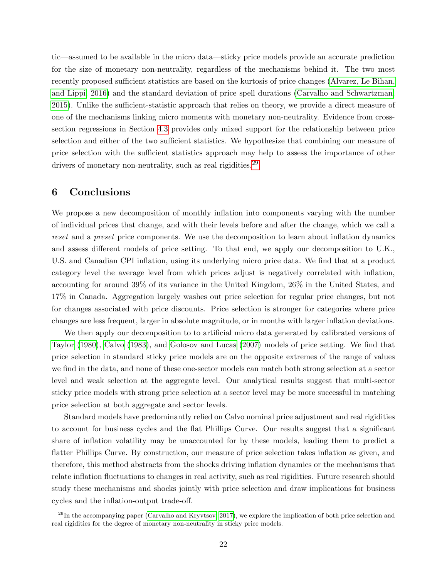tic—assumed to be available in the micro data—sticky price models provide an accurate prediction for the size of monetary non-neutrality, regardless of the mechanisms behind it. The two most recently proposed sufficient statistics are based on the kurtosis of price changes [\(Alvarez, Le Bihan,](#page-23-6) [and Lippi, 2016\)](#page-23-6) and the standard deviation of price spell durations [\(Carvalho and Schwartzman,](#page-23-4) [2015\)](#page-23-4). Unlike the sufficient-statistic approach that relies on theory, we provide a direct measure of one of the mechanisms linking micro moments with monetary non-neutrality. Evidence from crosssection regressions in Section [4.3](#page-18-1) provides only mixed support for the relationship between price selection and either of the two sufficient statistics. We hypothesize that combining our measure of price selection with the sufficient statistics approach may help to assess the importance of other drivers of monetary non-neutrality, such as real rigidities.<sup>[29](#page-22-0)</sup>

### 6 Conclusions

We propose a new decomposition of monthly inflation into components varying with the number of individual prices that change, and with their levels before and after the change, which we call a reset and a preset price components. We use the decomposition to learn about inflation dynamics and assess different models of price setting. To that end, we apply our decomposition to U.K., U.S. and Canadian CPI inflation, using its underlying micro price data. We find that at a product category level the average level from which prices adjust is negatively correlated with inflation, accounting for around 39% of its variance in the United Kingdom, 26% in the United States, and 17% in Canada. Aggregation largely washes out price selection for regular price changes, but not for changes associated with price discounts. Price selection is stronger for categories where price changes are less frequent, larger in absolute magnitude, or in months with larger inflation deviations.

We then apply our decomposition to to artificial micro data generated by calibrated versions of [Taylor \(1980\)](#page-25-5), [Calvo \(1983\)](#page-23-8), and [Golosov and Lucas \(2007\)](#page-24-0) models of price setting. We find that price selection in standard sticky price models are on the opposite extremes of the range of values we find in the data, and none of these one-sector models can match both strong selection at a sector level and weak selection at the aggregate level. Our analytical results suggest that multi-sector sticky price models with strong price selection at a sector level may be more successful in matching price selection at both aggregate and sector levels.

Standard models have predominantly relied on Calvo nominal price adjustment and real rigidities to account for business cycles and the flat Phillips Curve. Our results suggest that a significant share of inflation volatility may be unaccounted for by these models, leading them to predict a flatter Phillips Curve. By construction, our measure of price selection takes inflation as given, and therefore, this method abstracts from the shocks driving inflation dynamics or the mechanisms that relate inflation fluctuations to changes in real activity, such as real rigidities. Future research should study these mechanisms and shocks jointly with price selection and draw implications for business cycles and the inflation-output trade-off.

<span id="page-22-0"></span> $^{29}$ In the accompanying paper [\(Carvalho and Kryvtsov, 2017\)](#page-23-14), we explore the implication of both price selection and real rigidities for the degree of monetary non-neutrality in sticky price models.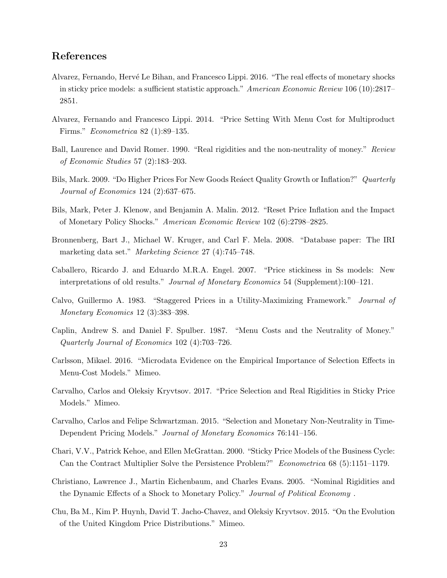## References

- <span id="page-23-6"></span>Alvarez, Fernando, Hervé Le Bihan, and Francesco Lippi. 2016. "The real effects of monetary shocks in sticky price models: a sufficient statistic approach." American Economic Review 106 (10):2817– 2851.
- <span id="page-23-5"></span>Alvarez, Fernando and Francesco Lippi. 2014. "Price Setting With Menu Cost for Multiproduct Firms." Econometrica 82 (1):89–135.
- <span id="page-23-10"></span>Ball, Laurence and David Romer. 1990. "Real rigidities and the non-neutrality of money." Review of Economic Studies 57 (2):183–203.
- <span id="page-23-12"></span>Bils, Mark. 2009. "Do Higher Prices For New Goods Reaect Quality Growth or Inflation?" Quarterly Journal of Economics 124 (2):637–675.
- <span id="page-23-9"></span>Bils, Mark, Peter J. Klenow, and Benjamin A. Malin. 2012. "Reset Price Inflation and the Impact of Monetary Policy Shocks." American Economic Review 102 (6):2798–2825.
- <span id="page-23-13"></span>Bronnenberg, Bart J., Michael W. Kruger, and Carl F. Mela. 2008. "Database paper: The IRI marketing data set." *Marketing Science* 27 (4):745–748.
- <span id="page-23-3"></span>Caballero, Ricardo J. and Eduardo M.R.A. Engel. 2007. "Price stickiness in Ss models: New interpretations of old results." *Journal of Monetary Economics* 54 (Supplement):100–121.
- <span id="page-23-8"></span>Calvo, Guillermo A. 1983. "Staggered Prices in a Utility-Maximizing Framework." Journal of Monetary Economics 12 (3):383–398.
- <span id="page-23-2"></span>Caplin, Andrew S. and Daniel F. Spulber. 1987. "Menu Costs and the Neutrality of Money." Quarterly Journal of Economics 102 (4):703–726.
- <span id="page-23-7"></span>Carlsson, Mikael. 2016. "Microdata Evidence on the Empirical Importance of Selection Effects in Menu-Cost Models." Mimeo.
- <span id="page-23-14"></span>Carvalho, Carlos and Oleksiy Kryvtsov. 2017. "Price Selection and Real Rigidities in Sticky Price Models." Mimeo.
- <span id="page-23-4"></span>Carvalho, Carlos and Felipe Schwartzman. 2015. "Selection and Monetary Non-Neutrality in Time-Dependent Pricing Models." Journal of Monetary Economics 76:141–156.
- <span id="page-23-0"></span>Chari, V.V., Patrick Kehoe, and Ellen McGrattan. 2000. "Sticky Price Models of the Business Cycle: Can the Contract Multiplier Solve the Persistence Problem?" Econometrica 68 (5):1151–1179.
- <span id="page-23-1"></span>Christiano, Lawrence J., Martin Eichenbaum, and Charles Evans. 2005. "Nominal Rigidities and the Dynamic Effects of a Shock to Monetary Policy." Journal of Political Economy.
- <span id="page-23-11"></span>Chu, Ba M., Kim P. Huynh, David T. Jacho-Chavez, and Oleksiy Kryvtsov. 2015. "On the Evolution of the United Kingdom Price Distributions." Mimeo.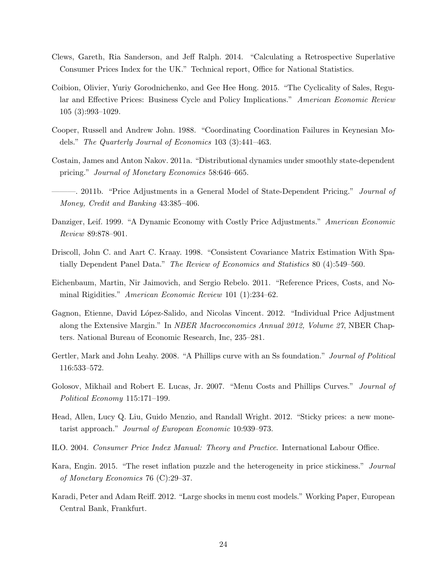- <span id="page-24-12"></span>Clews, Gareth, Ria Sanderson, and Jeff Ralph. 2014. "Calculating a Retrospective Superlative Consumer Prices Index for the UK." Technical report, Office for National Statistics.
- <span id="page-24-13"></span>Coibion, Olivier, Yuriy Gorodnichenko, and Gee Hee Hong. 2015. "The Cyclicality of Sales, Regular and Effective Prices: Business Cycle and Policy Implications." American Economic Review 105 (3):993–1029.
- <span id="page-24-9"></span>Cooper, Russell and Andrew John. 1988. "Coordinating Coordination Failures in Keynesian Models." The Quarterly Journal of Economics 103 (3):441–463.
- <span id="page-24-10"></span>Costain, James and Anton Nakov. 2011a. "Distributional dynamics under smoothly state-dependent pricing." Journal of Monetary Economics 58:646–665.
- <span id="page-24-3"></span>— 2011b. "Price Adjustments in a General Model of State-Dependent Pricing." *Journal of* Money, Credit and Banking 43:385–406.
- <span id="page-24-1"></span>Danziger, Leif. 1999. "A Dynamic Economy with Costly Price Adjustments." American Economic Review 89:878–901.
- <span id="page-24-14"></span>Driscoll, John C. and Aart C. Kraay. 1998. "Consistent Covariance Matrix Estimation With Spatially Dependent Panel Data." The Review of Economics and Statistics 80 (4):549–560.
- <span id="page-24-6"></span>Eichenbaum, Martin, Nir Jaimovich, and Sergio Rebelo. 2011. "Reference Prices, Costs, and Nominal Rigidities." American Economic Review 101 (1):234–62.
- <span id="page-24-7"></span>Gagnon, Etienne, David L´opez-Salido, and Nicolas Vincent. 2012. "Individual Price Adjustment along the Extensive Margin." In *NBER Macroeconomics Annual 2012, Volume 27*, NBER Chapters. National Bureau of Economic Research, Inc, 235–281.
- <span id="page-24-2"></span>Gertler, Mark and John Leahy. 2008. "A Phillips curve with an Ss foundation." Journal of Political 116:533–572.
- <span id="page-24-0"></span>Golosov, Mikhail and Robert E. Lucas, Jr. 2007. "Menu Costs and Phillips Curves." *Journal of* Political Economy 115:171–199.
- <span id="page-24-5"></span>Head, Allen, Lucy Q. Liu, Guido Menzio, and Randall Wright. 2012. "Sticky prices: a new monetarist approach." Journal of European Economic 10:939–973.
- <span id="page-24-8"></span>ILO. 2004. Consumer Price Index Manual: Theory and Practice. International Labour Office.
- <span id="page-24-11"></span>Kara, Engin. 2015. "The reset inflation puzzle and the heterogeneity in price stickiness." Journal of Monetary Economics 76 (C):29–37.
- <span id="page-24-4"></span>Karadi, Peter and Adam Reiff. 2012. "Large shocks in menu cost models." Working Paper, European Central Bank, Frankfurt.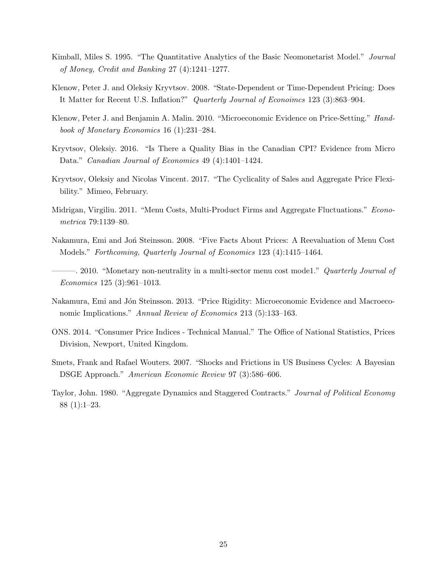- <span id="page-25-6"></span>Kimball, Miles S. 1995. "The Quantitative Analytics of the Basic Neomonetarist Model." Journal of Money, Credit and Banking 27 (4):1241–1277.
- <span id="page-25-7"></span>Klenow, Peter J. and Oleksiy Kryvtsov. 2008. "State-Dependent or Time-Dependent Pricing: Does It Matter for Recent U.S. Inflation?" Quarterly Journal of Econoimcs 123 (3):863–904.
- <span id="page-25-10"></span>Klenow, Peter J. and Benjamin A. Malin. 2010. "Microeconomic Evidence on Price-Setting." Handbook of Monetary Economics 16 (1):231–284.
- <span id="page-25-11"></span>Kryvtsov, Oleksiy. 2016. "Is There a Quality Bias in the Canadian CPI? Evidence from Micro Data." Canadian Journal of Economics 49 (4):1401-1424.
- <span id="page-25-4"></span>Kryvtsov, Oleksiy and Nicolas Vincent. 2017. "The Cyclicality of Sales and Aggregate Price Flexibility." Mimeo, February.
- <span id="page-25-3"></span>Midrigan, Virgiliu. 2011. "Menu Costs, Multi-Product Firms and Aggregate Fluctuations." Econometrica 79:1139–80.
- <span id="page-25-8"></span>Nakamura, Emi and Jon Steinsson. 2008. "Five Facts About Prices: A Reevaluation of Menu Cost Models." Forthcoming, Quarterly Journal of Economics 123 (4):1415–1464.
- <span id="page-25-2"></span>- 2010. "Monetary non-neutrality in a multi-sector menu cost mode1." *Quarterly Journal of* Economics 125 (3):961–1013.
- <span id="page-25-1"></span>Nakamura, Emi and Jón Steinsson. 2013. "Price Rigidity: Microeconomic Evidence and Macroeconomic Implications." Annual Review of Economics 213 (5):133-163.
- <span id="page-25-9"></span>ONS. 2014. "Consumer Price Indices - Technical Manual." The Office of National Statistics, Prices Division, Newport, United Kingdom.
- <span id="page-25-0"></span>Smets, Frank and Rafael Wouters. 2007. "Shocks and Frictions in US Business Cycles: A Bayesian DSGE Approach." American Economic Review 97 (3):586–606.
- <span id="page-25-5"></span>Taylor, John. 1980. "Aggregate Dynamics and Staggered Contracts." Journal of Political Economy 88 (1):1–23.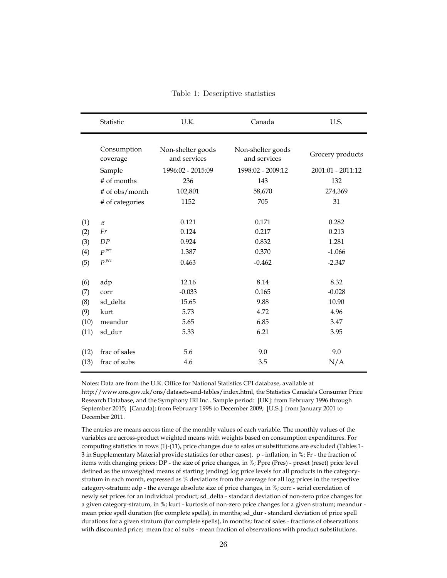|      | Statistic               | U.K.                              | Canada                            | U.S.              |
|------|-------------------------|-----------------------------------|-----------------------------------|-------------------|
|      | Consumption<br>coverage | Non-shelter goods<br>and services | Non-shelter goods<br>and services | Grocery products  |
|      | Sample                  | 1996:02 - 2015:09                 | 1998:02 - 2009:12                 | 2001:01 - 2011:12 |
|      | # of months             | 236                               | 143                               | 132               |
|      | # of obs/month          | 102,801                           | 58,670                            | 274,369           |
|      | # of categories         | 1152                              | 705                               | 31                |
|      |                         |                                   |                                   |                   |
| (1)  | $\pi$                   | 0.121                             | 0.171                             | 0.282             |
| (2)  | Fr                      | 0.124                             | 0.217                             | 0.213             |
| (3)  | DP                      | 0.924                             | 0.832                             | 1.281             |
| (4)  | $P^{pre}$               | 1.387                             | 0.370                             | $-1.066$          |
| (5)  | $P^{pre}$               | 0.463                             | $-0.462$                          | $-2.347$          |
|      |                         |                                   |                                   |                   |
| (6)  | adp                     | 12.16                             | 8.14                              | 8.32              |
| (7)  | corr                    | $-0.033$                          | 0.165                             | $-0.028$          |
| (8)  | sd_delta                | 15.65                             | 9.88                              | 10.90             |
| (9)  | kurt                    | 5.73                              | 4.72                              | 4.96              |
| (10) | meandur                 | 5.65                              | 6.85                              | 3.47              |
| (11) | sd_dur                  | 5.33                              | 6.21                              | 3.95              |
|      |                         |                                   |                                   |                   |
| (12) | frac of sales           | 5.6                               | 9.0                               | 9.0               |
| (13) | frac of subs            | 4.6                               | 3.5                               | N/A               |

<span id="page-26-0"></span>Table 1: Descriptive statistics

Notes: Data are from the U.K. Office for National Statistics CPI database, available at http://www.ons.gov.uk/ons/datasets-and-tables/index.html, the Statistics Canada's Consumer Price Research Database, and the Symphony IRI Inc.. Sample period: [UK]: from February 1996 through September 2015; [Canada]: from February 1998 to December 2009; [U.S.]: from January 2001 to December 2011.

The entries are means across time of the monthly values of each variable. The monthly values of the variables are across-product weighted means with weights based on consumption expenditures. For computing statistics in rows (1)-(11), price changes due to sales or substitutions are excluded (Tables 1- 3 in Supplementary Material provide statistics for other cases). p - inflation, in %; Fr - the fraction of items with changing prices; DP - the size of price changes, in %; Ppre (Pres) - preset (reset) price level defined as the unweighted means of starting (ending) log price levels for all products in the categorystratum in each month, expressed as % deviations from the average for all log prices in the respective category-stratum; adp - the average absolute size of price changes, in %; corr - serial correlation of newly set prices for an individual product; sd\_delta - standard deviation of non-zero price changes for a given category-stratum, in %; kurt - kurtosis of non-zero price changes for a given stratum; meandur mean price spell duration (for complete spells), in months; sd\_dur - standard deviation of price spell durations for a given stratum (for complete spells), in months; frac of sales - fractions of observations with discounted price; mean frac of subs - mean fraction of observations with product substitutions.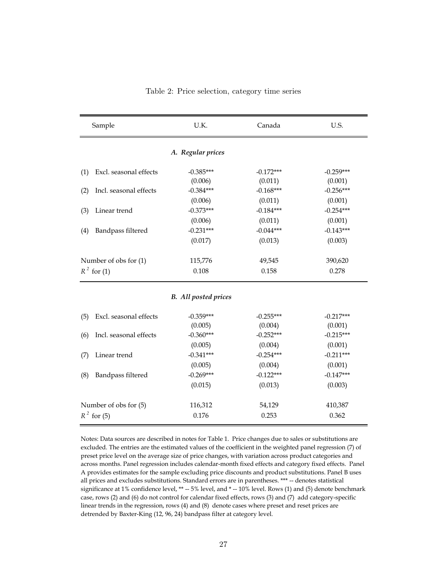|     | Sample                 | U.K.                        | Canada      | U.S.        |
|-----|------------------------|-----------------------------|-------------|-------------|
|     |                        | A. Regular prices           |             |             |
| (1) | Excl. seasonal effects | $-0.385***$                 | $-0.172***$ | $-0.259***$ |
|     |                        | (0.006)                     | (0.011)     | (0.001)     |
| (2) | Incl. seasonal effects | $-0.384***$                 | $-0.168***$ | $-0.256***$ |
|     |                        | (0.006)                     | (0.011)     | (0.001)     |
| (3) | Linear trend           | $-0.373***$                 | $-0.184***$ | $-0.254***$ |
|     |                        | (0.006)                     | (0.011)     | (0.001)     |
| (4) | Bandpass filtered      | $-0.231***$                 | $-0.044***$ | $-0.143***$ |
|     |                        | (0.017)                     | (0.013)     | (0.003)     |
|     | Number of obs for (1)  | 115,776                     | 49,545      | 390,620     |
|     | $R^2$ for (1)          | 0.108                       | 0.158       | 0.278       |
|     |                        |                             |             |             |
|     |                        | <b>B.</b> All posted prices |             |             |
| (5) | Excl. seasonal effects | $-0.359***$                 | $-0.255***$ | $-0.217***$ |
|     |                        | (0.005)                     | (0.004)     | (0.001)     |
| (6) | Incl. seasonal effects | $-0.360***$                 | $-0.252***$ | $-0.215***$ |
|     |                        | (0.005)                     | (0.004)     | (0.001)     |
| (7) | Linear trend           | $-0.341***$                 | $-0.254***$ | $-0.211***$ |
|     |                        | (0.005)                     | (0.004)     | (0.001)     |

<span id="page-27-0"></span>Table 2: Price selection, category time series

Notes: Data sources are described in notes for Table 1. Price changes due to sales or substitutions are excluded. The entries are the estimated values of the coefficient in the weighted panel regression (7) of preset price level on the average size of price changes, with variation across product categories and across months. Panel regression includes calendar-month fixed effects and category fixed effects. Panel A provides estimates for the sample excluding price discounts and product substitutions. Panel B uses all prices and excludes substitutions. Standard errors are in parentheses. \*\*\* -- denotes statistical significance at 1% confidence level,  $** - 5%$  level, and  $* - 10%$  level. Rows (1) and (5) denote benchmark case, rows (2) and (6) do not control for calendar fixed effects, rows (3) and (7) add category-specific linear trends in the regression, rows (4) and (8) denote cases where preset and reset prices are detrended by Baxter-King (12, 96, 24) bandpass filter at category level.

(8) Bandpass filtered -0.269\*\*\* -0.122\*\*\* -0.122\*\*\* -0.147\*\*\*

Number of obs for (5) 116,312 54,129 410,387  $R^2$  for (5) 0.176 0.253 0.362

 $(0.015)$   $(0.013)$   $(0.003)$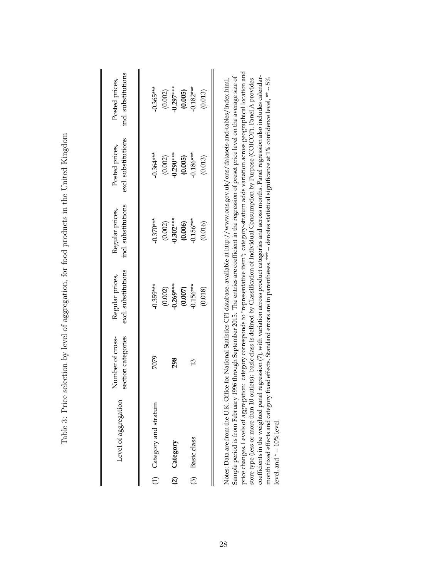<span id="page-28-0"></span>

| Level of aggregation     | Number of cross-<br>section categories | excl. substitutions<br>Regular prices, | incl. substitutions<br>Regular prices,               | excl. substitutions<br>Posted prices, | incl. substitutions<br>Posted prices, |
|--------------------------|----------------------------------------|----------------------------------------|------------------------------------------------------|---------------------------------------|---------------------------------------|
| (1) Category and stratum | 7079                                   | $0.359***$                             | $0.370***$                                           | $0.364***$                            | $0.365***$                            |
| (2) Category             | 298                                    | $(0.002)$<br>0.269***                  | $(0.002)$<br>$-0.302***$<br>$(0.006)$<br>$-0.156***$ | $(0.002)$<br>0.290***                 | $(0.002)$<br>0.297***                 |
| (3) Basic class          | 13                                     | $(0.007)$<br>0.156***<br>(0.018)       | (0.016)                                              | $(0.005)$<br>$0.186***$<br>(0.013)    | $(0.005)$<br>$0.182***$<br>(0.013)    |
|                          |                                        |                                        |                                                      |                                       |                                       |

Table 3: Price selection by level of aggregation, for food products in the United Kingdom Table 3: Price selection by level of aggregation, for food products in the United Kingdom

price changes. Levels of aggregation: category corresponds to "representative item"; category-stratum adds variation across geographical location and price changes. Levels of aggregation: category corresponds to "representative item"; category-stratum adds variation across geographical location and Sample period is from February 1996 through September 2015. The entries are coefficient in the regression of preset price level on the average size of coefficients in the weighted panel regression (7), with variation across product categories and across months. Panel regression also includes calendar-Sample period is from February 1996 through September 2015. The entries are coefficient in the regression of preset price level on the average size of coefficients in the weighted panel regression (7), with variation across product categories and across months. Panel regression also includes calendarstore type (less or more than 10 outlets); basic class is defined by Classification of Individual Consumption by Purpose (COICOP). Panel A provides month fixed effects and category fixed effects. Standard errors are in parentheses. \*\*\* -- denotes statistical significance at 1% confidence level, \*\* -- 5% month fixed effects and category fixed effects. Standard errors are in parentheses. \*\*\* -- denotes statistical significance at 1% confidence level, \*\* -- 5% Notes: Data are from the U.K. Office for National Statistics CPI database, available at http://www.ons.gov.uk/ons/datasets-and-tables/index.html. store type (less or more than 10 outlets); basic class is defined by Classification of Individual Consumption by Purpose (COICOP). Panel A provides Notes: Data are from the U.K. Office for National Statistics CPI database, available at http://www.ons.gov.uk/ons/datasets-and-tables/index.html. level, and \*--10% level. level, and \* -- 10% level.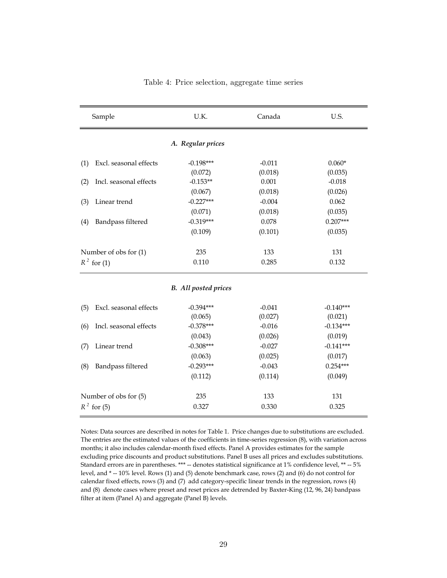| Sample                        | U.K.                        | Canada   | U.S.        |
|-------------------------------|-----------------------------|----------|-------------|
|                               | A. Regular prices           |          |             |
| Excl. seasonal effects<br>(1) | $-0.198***$                 | $-0.011$ | $0.060*$    |
|                               | (0.072)                     | (0.018)  | (0.035)     |
| Incl. seasonal effects<br>(2) | $-0.153**$                  | 0.001    | $-0.018$    |
|                               | (0.067)                     | (0.018)  | (0.026)     |
| Linear trend<br>(3)           | $-0.227***$                 | $-0.004$ | 0.062       |
|                               | (0.071)                     | (0.018)  | (0.035)     |
| Bandpass filtered<br>(4)      | $-0.319***$                 | 0.078    | $0.207***$  |
|                               | (0.109)                     | (0.101)  | (0.035)     |
| Number of obs for (1)         | 235                         | 133      | 131         |
| $R^2$ for (1)                 | 0.110                       | 0.285    | 0.132       |
|                               | <b>B.</b> All posted prices |          |             |
| Excl. seasonal effects<br>(5) | $-0.394***$                 | $-0.041$ | $-0.140***$ |
|                               | (0.065)                     | (0.027)  | (0.021)     |
| Incl. seasonal effects<br>(6) | $-0.378***$                 | $-0.016$ | $-0.134***$ |
|                               | (0.043)                     | (0.026)  | (0.019)     |
| Linear trend<br>(7)           | $-0.308***$                 | $-0.027$ | $-0.141***$ |
|                               | (0.063)                     | (0.025)  | (0.017)     |
| Bandpass filtered<br>(8)      | $-0.293***$                 | $-0.043$ | $0.254***$  |
|                               | (0.112)                     | (0.114)  | (0.049)     |
| Number of obs for (5)         | 235                         | 133      | 131         |
| $R^2$ for (5)                 | 0.327                       | 0.330    | 0.325       |

<span id="page-29-0"></span>

|  | Table 4: Price selection, aggregate time series |  |
|--|-------------------------------------------------|--|
|  |                                                 |  |

Notes: Data sources are described in notes for Table 1. Price changes due to substitutions are excluded. The entries are the estimated values of the coefficients in time-series regression (8), with variation across months; it also includes calendar-month fixed effects. Panel A provides estimates for the sample excluding price discounts and product substitutions. Panel B uses all prices and excludes substitutions. Standard errors are in parentheses. \*\*\* -- denotes statistical significance at 1% confidence level, \*\* -- 5% level, and \* -- 10% level. Rows (1) and (5) denote benchmark case, rows (2) and (6) do not control for calendar fixed effects, rows (3) and (7) add category-specific linear trends in the regression, rows (4) and (8) denote cases where preset and reset prices are detrended by Baxter-King (12, 96, 24) bandpass filter at item (Panel A) and aggregate (Panel B) levels.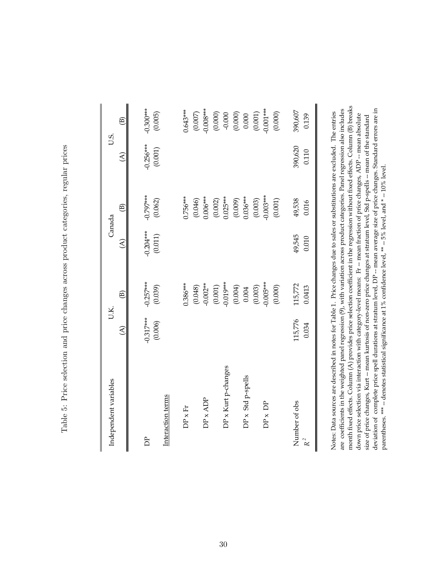| I                                                                                                                                         |
|-------------------------------------------------------------------------------------------------------------------------------------------|
| ;<br>(<br>)<br>                                                                                                                           |
| בני המסור המסורי המסור המסור המסור המסור המסור המסור המסור המסור המסורי המסורי המסורי המסורי המסורי המסורי המס<br>j<br>)<br>()<br>()<br>١ |
| ;<br>;<br>$\vdots$<br>l                                                                                                                   |
| )<br>2<br>うりろ                                                                                                                             |
| )<br>j<br>J<br>;<br>;<br>;                                                                                                                |
| I<br>ł<br>ł                                                                                                                               |
| \$<br>}<br>}                                                                                                                              |
| ì                                                                                                                                         |
| $\frac{1}{2}$<br>I                                                                                                                        |
| ļ                                                                                                                                         |
| $\frac{1}{2}$<br>j<br>ŀ<br>I                                                                                                              |

<span id="page-30-0"></span>

| Independent variables    | JK.                      |                          |                          | Canada                  | U.S.                     |                                                                                                          |
|--------------------------|--------------------------|--------------------------|--------------------------|-------------------------|--------------------------|----------------------------------------------------------------------------------------------------------|
|                          | $\widehat{\mathfrak{A}}$ | $\widehat{\mathfrak{B}}$ | $\widehat{\mathfrak{A}}$ | ê)                      | $\widehat{\mathfrak{A}}$ | ම                                                                                                        |
|                          |                          |                          |                          |                         |                          |                                                                                                          |
| È                        | $-0.317***$              | $-0.257***$              | $-0.204***$              | $-0.797***$             | $-0.256***$              | $-0.300***$                                                                                              |
|                          | (0.006)                  | (0.039)                  | $(0.011)$                | (0.062)                 | (0.001)                  | (0.005)                                                                                                  |
| Interaction terms        |                          |                          |                          |                         |                          |                                                                                                          |
| $DP \times Fr$           |                          | $0.386***$               |                          | $0.756***$              |                          | $0.643***$                                                                                               |
|                          |                          |                          |                          | (0.046)                 |                          | (0.007)                                                                                                  |
| $DP \times ADP$          |                          | $(0.048)$<br>$0.002**$   |                          | $0.006***$              |                          | $0.008***$                                                                                               |
|                          |                          | $(0.001)$<br>$0.019***$  |                          | $(0.002)$<br>$0.025***$ |                          | $\begin{array}{c} (0.000) \\ -0.000 \\ (0.000) \\ 0.000 \\ (0.001) \\ (0.001) \\ (0.001) \\ \end{array}$ |
| DP x Kurt p-changes      |                          |                          |                          |                         |                          |                                                                                                          |
|                          |                          | $(0.004)$<br>0.004       |                          | $(0.009)$<br>0.036***   |                          |                                                                                                          |
| $DP \times Std$ p-spells |                          |                          |                          |                         |                          |                                                                                                          |
|                          |                          | $(0.003)$<br>$0.005***$  |                          | $(0.003)$<br>$0.003***$ |                          |                                                                                                          |
| $DP \times DP$           |                          |                          |                          |                         |                          |                                                                                                          |
|                          |                          | (0.000)                  |                          | $(0.001)$               |                          | (0.000)                                                                                                  |
| Number of obs            | 115,776                  | 115,772                  | 49,545                   | 49,538                  | 390,620                  | 390,607                                                                                                  |
| $R^2$                    | 0.034                    | 0.0413                   | $0.010\,$                | 0.016                   | 0.110                    | 0.139                                                                                                    |
|                          |                          |                          |                          |                         |                          |                                                                                                          |

month fixed effects. Column (A) provides price selection coefficient in the regression without fixed effects. Column (B) breaks<br>down price selection via interaction with category-level means: Fr -- mean fraction of price c month fixed effects. Column (A) provides price selection coefficient in the regression without fixed effects. Column (B) breaks are coefficients in the weighted panel regression (9), with variation across product categories. Panel regression also includes deviation of complete price spell durations at stratum level, DP -- mean average size of price changes. Standard errors are in parentheses. \*\*\* -- denotes statistical significance at 1% confidence level, \*\* -- 5% level, a are coefficients in the weighted panel regression (9), with variation across product categories. Panel regression also includes deviation of complete price spell durations at stratum level, DP -- mean average size of price changes. Standard errors are in Notes: Data sources are described in notes for Table 1. Price changes due to sales or substitutions are excluded. The entries Notes: Data sources are described in notes for Table 1. Price changes due to sales or substitutions are excluded. The entries down price selection via interaction with category-level means: Fr -- mean fraction of price changes, ADP -- mean absolute size of price changes, Kurt -- mean kurtosis of non-zero price changes at stratum level, Std p-spells -- mean of the standard size of price changes, Kurt -- mean kurtosis of non-zero price changes at stratum level, Std p-spells -- mean of the standard parentheses. \*\*\* -- denotes statistical significance at 1% confidence level, \*\* -- 5% level, and \* -- 10% level.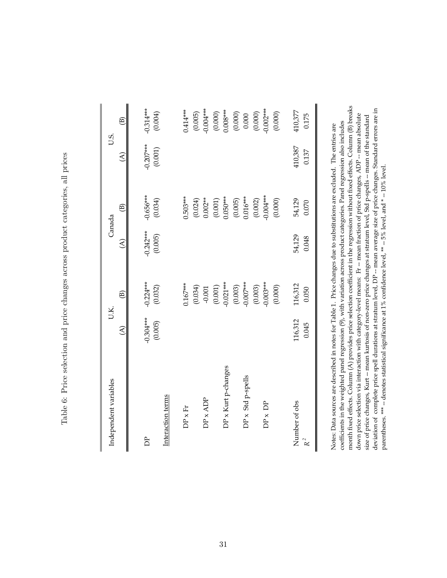| <br> <br>Í                                                                                                                                                                                                                                    |
|-----------------------------------------------------------------------------------------------------------------------------------------------------------------------------------------------------------------------------------------------|
| <br> <br> <br>֧ׅ֧֧֧֧֧֧֧֧֧֧֚֚֚֚֚֚֚֚֚֚֚֚֚֚֚֚֚֚֚֚֚֚֚֚֚֚֚֚֚֚֚֚֡֡֡֓֓֓֡֓֓֓֓֓֓֓֓֡֟֓֝֬֝֓                                                                                                                                                              |
| varior compositor and component providence and component component component component component component component component component component component component component component component component component compo<br>l<br>י<br>ג |
| j<br>;<br>;                                                                                                                                                                                                                                   |
| į<br>うりろ                                                                                                                                                                                                                                      |
| ジャンパーツ<br>1                                                                                                                                                                                                                                   |
| )<br> <br> <br>ו<br>ו<br>í                                                                                                                                                                                                                    |
| <br> <br> <br>                                                                                                                                                                                                                                |
| i<br>り・りりり<br>j                                                                                                                                                                                                                               |
| $\frac{1}{1}$<br>ĺ                                                                                                                                                                                                                            |
| -<br>-<br>-<br>-<br>.<br>!<br>ļ<br>5<br>1                                                                                                                                                                                                     |

| Independent variables                | U.K.                     |               | Canada                                                                            |                       | U.S.                     |                          |
|--------------------------------------|--------------------------|---------------|-----------------------------------------------------------------------------------|-----------------------|--------------------------|--------------------------|
|                                      | $\widehat{\mathfrak{C}}$ | $\circledR$   | $\widehat{\mathcal{E}}$                                                           | $\circledB$           | $\widehat{\mathfrak{C}}$ | $\widehat{\mathfrak{B}}$ |
|                                      |                          |               |                                                                                   |                       |                          |                          |
| È                                    | $-0.304***$              | $-0.224***$   | $-0.242***$                                                                       | $-0.656***$           | $-0.207***$              | $-0.314***$              |
|                                      | (0.005)                  | (0.032)       | (0.005)                                                                           | (0.034)               | $(0.001)$                | (0.004)                  |
| Interaction terms                    |                          |               |                                                                                   |                       |                          |                          |
| $DP \times Fr$                       |                          | $0.167***$    |                                                                                   | $0.503***$            |                          | 0.414***                 |
|                                      |                          | (160.0)       |                                                                                   | (0.024)               |                          | (0.005)                  |
| $DP \times ADP$                      |                          | $-0.001$      |                                                                                   | $0.002***$            |                          | $-0.004***$              |
|                                      |                          | $(0.001)$     |                                                                                   | $(0.001)$             |                          | (0.000)                  |
| DP x Kurt p-changes                  |                          | $-0.021***$   |                                                                                   | $0.050***$            |                          | $0.008***$               |
|                                      |                          | (0.003)       |                                                                                   | $(0.005)$<br>0.016*** |                          | (0.000)                  |
| $DP \times Std$ p-spells             |                          | $-0.007***$   |                                                                                   |                       |                          |                          |
|                                      |                          | (0.003)       |                                                                                   | (0.002)               |                          | $(0.000)$                |
| $DP \times DP$                       |                          | $-0.003***$   |                                                                                   | $-0.004***$           |                          | $-0.002***$              |
|                                      |                          | (0.000)       |                                                                                   | (0.000)               |                          | (0.000)                  |
| Number of obs                        | 116,312                  | 116,312       | 54,129                                                                            | 54,129                | 410,387                  | 410,377                  |
| $R^2$                                | 0.045                    | 0.050         | 0.048                                                                             | 0.070                 | 0.137                    | 0.175                    |
| $\frac{1}{2}$<br>$\overline{a}$<br>Ĭ | マンティング しょうしょう            | $\frac{1}{2}$ | $-1$ , $-1$ , $-1$ , $-1$ , $-1$ , $-1$ , $-1$ , $-1$ , $-1$ , $-1$ , $-1$ , $-1$ |                       | $\vdots$<br>医子宫 医子宫      |                          |

month fixed effects. Column (A) provides price selection coefficient in the regression without fixed effects. Column (B) breaks<br>down price selection via interaction with category-level means: Fr -- mean fraction of price c month fixed effects. Column (A) provides price selection coefficient in the regression without fixed effects. Column (B) breaks deviation of complete price spell durations at stratum level, DP -- mean average size of price changes. Standard errors are in parentheses. \*\*\* -- denotes statistical significance at 1% confidence level, \*\* -- 5% level, a deviation of complete price spell durations at stratum level, DP -- mean average size of price changes. Standard errors are in down price selection via interaction with category-level means: Fr -- mean fraction of price changes, ADP -- mean absolute size of price changes, Kurt -- mean kurtosis of non-zero price changes at stratum level, Std p-spells -- mean of the standard size of price changes, Kurt -- mean kurtosis of non-zero price changes at stratum level, Std p-spells -- mean of the standard coefficients in the weighted panel regression (9), with variation across product categories. Panel regression also includes coefficients in the weighted panel regression (9), with variation across product categories. Panel regression also includes Notes: Data sources are described in notes for Table 1. Price changes due to substitutions are excluded. The entries are Notes: Data sources are described in notes for Table 1. Price changes due to substitutions are excluded. The entries are parentheses. \*\*\* -- denotes statistical significance at 1% confidence level, \*\* -- 5% level, and \* -- 10% level.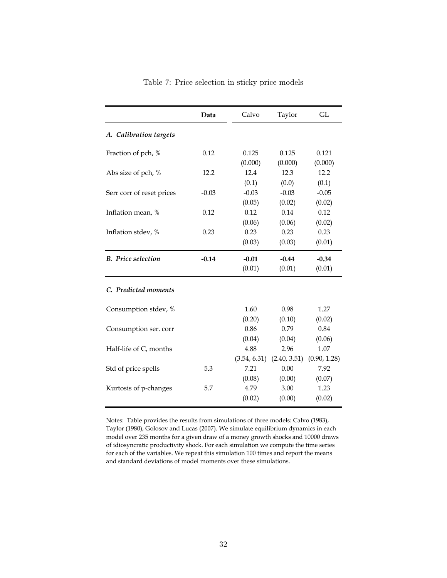|                           | Data    | Calvo        | Taylor       | GL           |
|---------------------------|---------|--------------|--------------|--------------|
| A. Calibration targets    |         |              |              |              |
| Fraction of pch, %        | 0.12    | 0.125        | 0.125        | 0.121        |
|                           |         | (0.000)      | (0.000)      | (0.000)      |
| Abs size of pch, %        | 12.2    | 12.4         | 12.3         | 12.2         |
|                           |         | (0.1)        | (0.0)        | (0.1)        |
| Serr corr of reset prices | $-0.03$ | $-0.03$      | $-0.03$      | $-0.05$      |
|                           |         | (0.05)       | (0.02)       | (0.02)       |
| Inflation mean, %         | 0.12    | 0.12         | 0.14         | 0.12         |
|                           |         | (0.06)       | (0.06)       | (0.02)       |
| Inflation stdev, %        | 0.23    | 0.23         | 0.23         | 0.23         |
|                           |         | (0.03)       | (0.03)       | (0.01)       |
| <b>B.</b> Price selection | $-0.14$ | $-0.01$      | $-0.44$      | $-0.34$      |
|                           |         | (0.01)       | (0.01)       | (0.01)       |
| C. Predicted moments      |         |              |              |              |
| Consumption stdev, %      |         | 1.60         | 0.98         | 1.27         |
|                           |         | (0.20)       | (0.10)       | (0.02)       |
| Consumption ser. corr     |         | 0.86         | 0.79         | 0.84         |
|                           |         | (0.04)       | (0.04)       | (0.06)       |
| Half-life of C, months    |         | 4.88         | 2.96         | 1.07         |
|                           |         | (3.54, 6.31) | (2.40, 3.51) | (0.90, 1.28) |
| Std of price spells       | 5.3     | 7.21         | 0.00         | 7.92         |
|                           |         | (0.08)       | (0.00)       | (0.07)       |
| Kurtosis of p-changes     | 5.7     | 4.79         | 3.00         | 1.23         |
|                           |         | (0.02)       | (0.00)       | (0.02)       |

<span id="page-32-0"></span>Table 7: Price selection in sticky price models

Notes: Table provides the results from simulations of three models: Calvo (1983), Taylor (1980), Golosov and Lucas (2007). We simulate equilibrium dynamics in each model over 235 months for a given draw of a money growth shocks and 10000 draws of idiosyncratic productivity shock. For each simulation we compute the time series for each of the variables. We repeat this simulation 100 times and report the means and standard deviations of model moments over these simulations.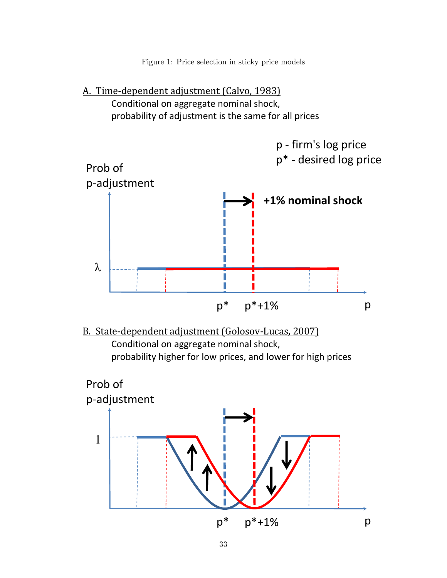<span id="page-33-0"></span>Figure 1: Price selection in sticky price models





B. State-dependent adjustment (Golosov-Lucas, 2007) Conditional on aggregate nominal shock, probability higher for low prices, and lower for high prices

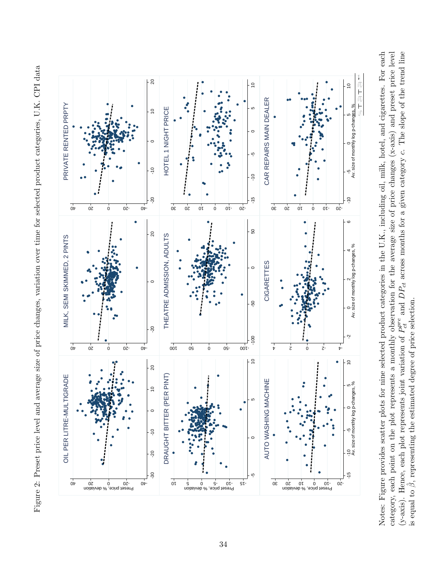Figure 2: Preset price level and average size of price changes, variation over time for selected product categories, U.K. CPI data Figure 2: Preset price level and average size of price changes, variation over time for selected product categories, U.K. CPI data

<span id="page-34-0"></span>

Notes: Figure provides scatter plots for nine selected product categories in the U.K., including oil, milk, hotel, and cigarettes. For each category, each point on the plot represents a monthly observation for the average size of price changes (x-axis) and preset price level (y-axis). Hence, each plot represents joint variation of  $P_{ct}^{pre}$  and  $DP_{ct}$  across months for a given category c. The slope of the trend line Notes: Figure provides scatter plots for nine selected product categories in the U.K., including oil, milk, hotel, and cigarettes. For each category, each point on the plot represents a monthly observation for the average size of price changes (x-axis) and preset price level  $P_{ct}^{pre}$  and  $DP_{ct}$  across months for a given category c. The slope of the trend line is equal to  $\hat{\beta}$ , representing the estimated degree of price selection.  $\hat{\beta},$  representing the estimated degree of price selection. (y-axis). Hence, each plot represents joint variation of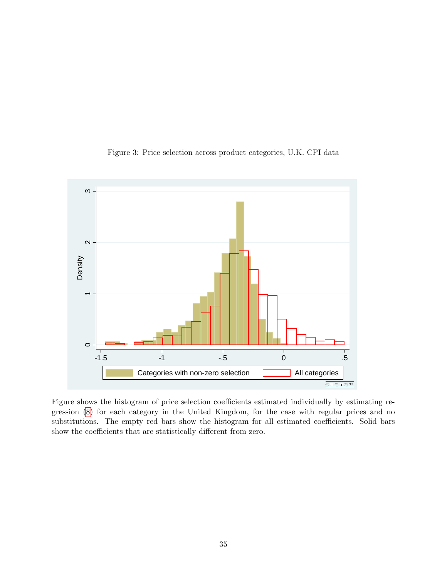

<span id="page-35-0"></span>Figure 3: Price selection across product categories, U.K. CPI data

Figure shows the histogram of price selection coefficients estimated individually by estimating regression [\(8\)](#page-17-0) for each category in the United Kingdom, for the case with regular prices and no substitutions. The empty red bars show the histogram for all estimated coefficients. Solid bars show the coefficients that are statistically different from zero.